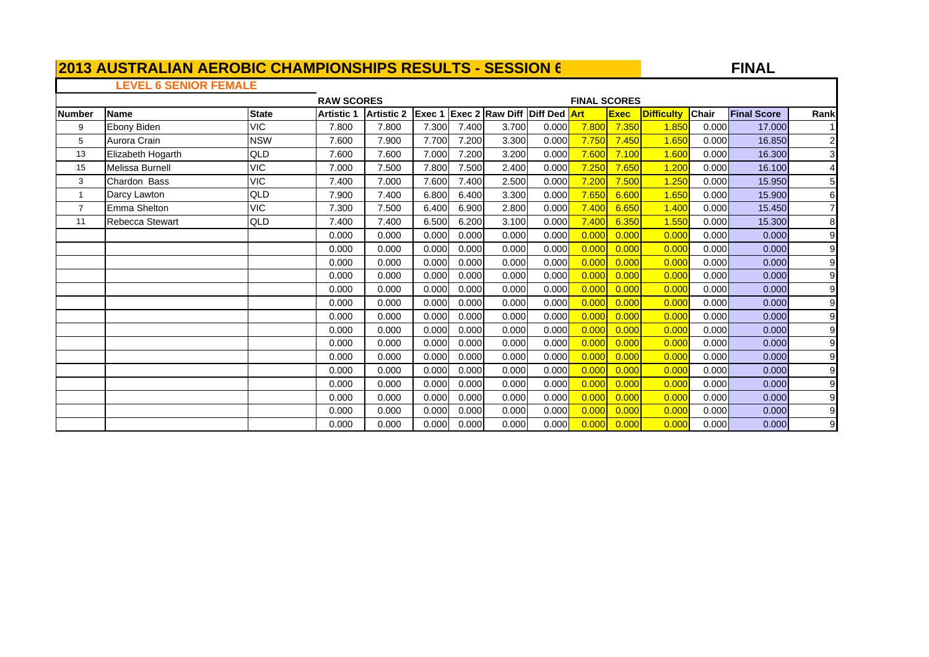**FINA L**

# **LEVEL 6 SENIOR FEMALE**

|                |                   |              | <b>RAW SCORES</b> |                   |        |       |                                     |       | <b>FINAL SCORES</b> |             |                   |              |                    |                |
|----------------|-------------------|--------------|-------------------|-------------------|--------|-------|-------------------------------------|-------|---------------------|-------------|-------------------|--------------|--------------------|----------------|
| Number         | <b>Name</b>       | <b>State</b> | <b>Artistic 1</b> | <b>Artistic 2</b> | Exec 1 |       | <b>Exec 2 Raw Diff Diff Ded Art</b> |       |                     | <b>Exec</b> | <b>Difficulty</b> | <b>Chair</b> | <b>Final Score</b> | Rank           |
| 9              | Ebony Biden       | VIC          | 7.800             | 7.800             | 7.300  | 7.400 | 3.700                               | 0.000 | 7.800               | 7.350       | 1.850             | 0.000        | 17.000             |                |
| 5              | Aurora Crain      | <b>NSW</b>   | 7.600             | 7.900             | 7.700  | 7.200 | 3.300                               | 0.000 | 7.750               | 7.450       | 1.650             | 0.000        | 16.850             | $\overline{2}$ |
| 13             | Elizabeth Hogarth | QLD          | 7.600             | 7.600             | 7.000  | 7.200 | 3.200                               | 0.000 | 7.600               | 7.100       | 1.600             | 0.000        | 16.300             | 3 <sub>l</sub> |
| 15             | Melissa Burnell   | <b>VIC</b>   | 7.000             | 7.500             | 7.800  | 7.500 | 2.400                               | 0.000 | 7.250               | 7.650       | 1.200             | 0.000        | 16.100             |                |
| 3              | Chardon Bass      | <b>VIC</b>   | 7.400             | 7.000             | 7.600  | 7.400 | 2.500                               | 0.000 | 7.200               | 7.500       | 1.250             | 0.000        | 15.950             | 5              |
| $\mathbf{1}$   | Darcy Lawton      | QLD          | 7.900             | 7.400             | 6.800  | 6.400 | 3.300                               | 0.000 | 7.650               | 6.600       | 1.650             | 0.000        | 15.900             | 6              |
| $\overline{7}$ | Emma Shelton      | <b>VIC</b>   | 7.300             | 7.500             | 6.400  | 6.900 | 2.800                               | 0.000 | 7.400               | 6.650       | 1.400             | 0.000        | 15.450             |                |
| 11             | Rebecca Stewart   | QLD          | 7.400             | 7.400             | 6.500  | 6.200 | 3.100                               | 0.000 | 7.400               | 6.350       | 1.550             | 0.000        | 15.300             | 8              |
|                |                   |              | 0.000             | 0.000             | 0.000  | 0.000 | 0.000                               | 0.000 | 0.000               | 0.000       | 0.000             | 0.000        | 0.000              | 9              |
|                |                   |              | 0.000             | 0.000             | 0.000  | 0.000 | 0.000                               | 0.000 | 0.000               | 0.000       | 0.000             | 0.000        | 0.000              | 9              |
|                |                   |              | 0.000             | 0.000             | 0.000  | 0.000 | 0.000                               | 0.000 | 0.000               | 0.000       | 0.000             | 0.000        | 0.000              | 9              |
|                |                   |              | 0.000             | 0.000             | 0.000  | 0.000 | 0.000                               | 0.000 | 0.000               | 0.000       | 0.000             | 0.000        | 0.000              | 9              |
|                |                   |              | 0.000             | 0.000             | 0.000  | 0.000 | 0.000                               | 0.000 | 0.000               | 0.000       | 0.000             | 0.000        | 0.000              | 9              |
|                |                   |              | 0.000             | 0.000             | 0.000  | 0.000 | 0.000                               | 0.000 | 0.000               | 0.000       | 0.000             | 0.000        | 0.000              | 9              |
|                |                   |              | 0.000             | 0.000             | 0.000  | 0.000 | 0.000                               | 0.000 | 0.000               | 0.000       | 0.000             | 0.000        | 0.000              | 9              |
|                |                   |              | 0.000             | 0.000             | 0.000  | 0.000 | 0.000                               | 0.000 | 0.000               | 0.000       | 0.000             | 0.000        | 0.000              | 9              |
|                |                   |              | 0.000             | 0.000             | 0.000  | 0.000 | 0.000                               | 0.000 | 0.000               | 0.000       | 0.000             | 0.000        | 0.000              | 9              |
|                |                   |              | 0.000             | 0.000             | 0.000  | 0.000 | 0.000                               | 0.000 | 0.000               | 0.000       | 0.000             | 0.000        | 0.000              | 9              |
|                |                   |              | 0.000             | 0.000             | 0.000  | 0.000 | 0.000                               | 0.000 | 0.000               | 0.000       | 0.000             | 0.000        | 0.000              | 9              |
|                |                   |              | 0.000             | 0.000             | 0.000  | 0.000 | 0.000                               | 0.000 | 0.000               | 0.000       | 0.000             | 0.000        | 0.000              | 9              |
|                |                   |              | 0.000             | 0.000             | 0.000  | 0.000 | 0.000                               | 0.000 | 0.000               | 0.000       | 0.000             | 0.000        | 0.000              | 9              |
|                |                   |              | 0.000             | 0.000             | 0.000  | 0.000 | 0.000                               | 0.000 | 0.000               | 0.000       | 0.000             | 0.000        | 0.000              | 9              |
|                |                   |              | 0.000             | 0.000             | 0.000  | 0.000 | 0.000                               | 0.000 | 0.000               | 0.000       | 0.000             | 0.000        | 0.000              | 9              |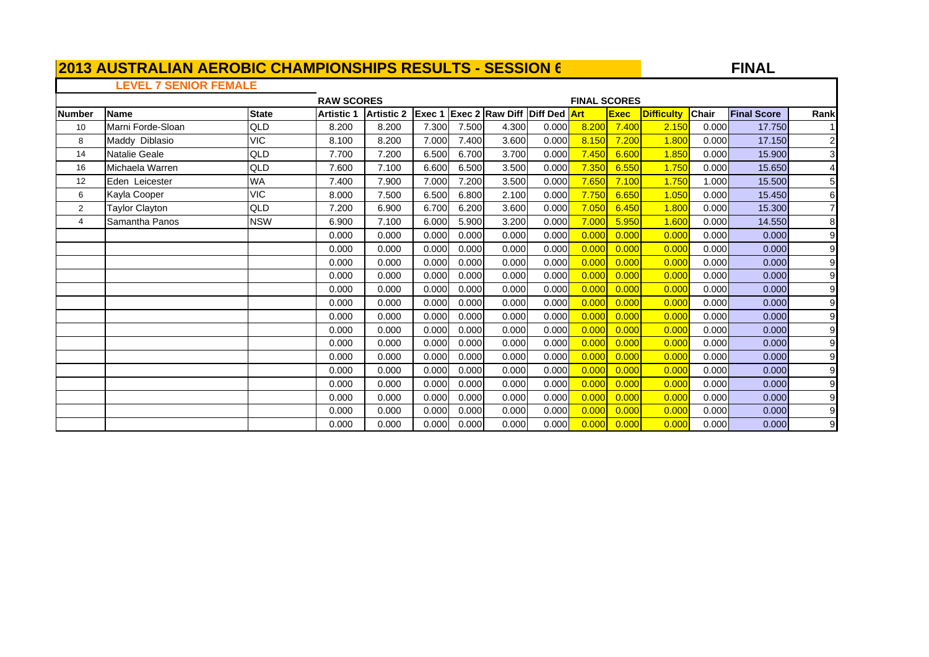**FINA L**

# **LEVEL 7 SENIOR FEMALE**

|                 |                       |              | <b>RAW SCORES</b> |                   |        |       |                                     |       | <b>FINAL SCORES</b> |             |                   |              |                    |                |
|-----------------|-----------------------|--------------|-------------------|-------------------|--------|-------|-------------------------------------|-------|---------------------|-------------|-------------------|--------------|--------------------|----------------|
| <b>Number</b>   | <b>Name</b>           | <b>State</b> | <b>Artistic 1</b> | <b>Artistic 2</b> | Exec 1 |       | <b>Exec 2 Raw Diff Diff Ded Art</b> |       |                     | <b>Exec</b> | <b>Difficulty</b> | <b>Chair</b> | <b>Final Score</b> | Rank           |
| 10 <sup>°</sup> | Marni Forde-Sloan     | QLD          | 8.200             | 8.200             | 7.300  | 7.500 | 4.300                               | 0.000 | 8.200               | 7.400       | 2.150             | 0.000        | 17.750             |                |
| 8               | Maddy Diblasio        | <b>VIC</b>   | 8.100             | 8.200             | 7.000  | 7.400 | 3.600                               | 0.000 | 8.150               | 7.200       | 1.800             | 0.000        | 17.150             | $\overline{2}$ |
| 14              | Natalie Geale         | QLD          | 7.700             | 7.200             | 6.500  | 6.700 | 3.700                               | 0.000 | 7.450               | 6.600       | 1.850             | 0.000        | 15.900             | 3 <sub>l</sub> |
| 16              | Michaela Warren       | QLD          | 7.600             | 7.100             | 6.600  | 6.500 | 3.500                               | 0.000 | 7.350               | 6.550       | 1.750             | 0.000        | 15.650             |                |
| 12              | Eden Leicester        | <b>WA</b>    | 7.400             | 7.900             | 7.000  | 7.200 | 3.500                               | 0.000 | 7.650               | 7.100       | 1.750             | 1.000        | 15.500             | 5              |
| 6               | Kayla Cooper          | VIC          | 8.000             | 7.500             | 6.500  | 6.800 | 2.100                               | 0.000 | 7.750               | 6.650       | 1.050             | 0.000        | 15.450             | 6              |
| 2               | <b>Taylor Clayton</b> | QLD          | 7.200             | 6.900             | 6.700  | 6.200 | 3.600                               | 0.000 | 7.050               | 6.450       | 1.800             | 0.000        | 15.300             |                |
| $\overline{4}$  | Samantha Panos        | <b>NSW</b>   | 6.900             | 7.100             | 6.000  | 5.900 | 3.200                               | 0.000 | 7.000               | 5.950       | 1.600             | 0.000        | 14.550             | 8              |
|                 |                       |              | 0.000             | 0.000             | 0.000  | 0.000 | 0.000                               | 0.000 | 0.000               | 0.000       | 0.000             | 0.000        | 0.000              | 9              |
|                 |                       |              | 0.000             | 0.000             | 0.000  | 0.000 | 0.000                               | 0.000 | 0.000               | 0.000       | 0.000             | 0.000        | 0.000              | 9              |
|                 |                       |              | 0.000             | 0.000             | 0.000  | 0.000 | 0.000                               | 0.000 | 0.000               | 0.000       | 0.000             | 0.000        | 0.000              | 9              |
|                 |                       |              | 0.000             | 0.000             | 0.000  | 0.000 | 0.000                               | 0.000 | 0.000               | 0.000       | 0.000             | 0.000        | 0.000              | 9              |
|                 |                       |              | 0.000             | 0.000             | 0.000  | 0.000 | 0.000                               | 0.000 | 0.000               | 0.000       | 0.000             | 0.000        | 0.000              | 9              |
|                 |                       |              | 0.000             | 0.000             | 0.000  | 0.000 | 0.000                               | 0.000 | 0.000               | 0.000       | 0.000             | 0.000        | 0.000              | 9              |
|                 |                       |              | 0.000             | 0.000             | 0.000  | 0.000 | 0.000                               | 0.000 | 0.000               | 0.000       | 0.000             | 0.000        | 0.000              | 9              |
|                 |                       |              | 0.000             | 0.000             | 0.000  | 0.000 | 0.000                               | 0.000 | 0.000               | 0.000       | 0.000             | 0.000        | 0.000              | 9              |
|                 |                       |              | 0.000             | 0.000             | 0.000  | 0.000 | 0.000                               | 0.000 | 0.000               | 0.000       | 0.000             | 0.000        | 0.000              | 9              |
|                 |                       |              | 0.000             | 0.000             | 0.000  | 0.000 | 0.000                               | 0.000 | 0.000               | 0.000       | 0.000             | 0.000        | 0.000              | 9              |
|                 |                       |              | 0.000             | 0.000             | 0.000  | 0.000 | 0.000                               | 0.000 | 0.000               | 0.000       | 0.000             | 0.000        | 0.000              | 9              |
|                 |                       |              | 0.000             | 0.000             | 0.000  | 0.000 | 0.000                               | 0.000 | 0.000               | 0.000       | 0.000             | 0.000        | 0.000              | 9              |
|                 |                       |              | 0.000             | 0.000             | 0.000  | 0.000 | 0.000                               | 0.000 | 0.000               | 0.000       | 0.000             | 0.000        | 0.000              | 9              |
|                 |                       |              | 0.000             | 0.000             | 0.000  | 0.000 | 0.000                               | 0.000 | 0.000               | 0.000       | 0.000             | 0.000        | 0.000              | 9              |
|                 |                       |              | 0.000             | 0.000             | 0.000  | 0.000 | 0.000                               | 0.000 | 0.000               | 0.000       | 0.000             | 0.000        | 0.000              | 9              |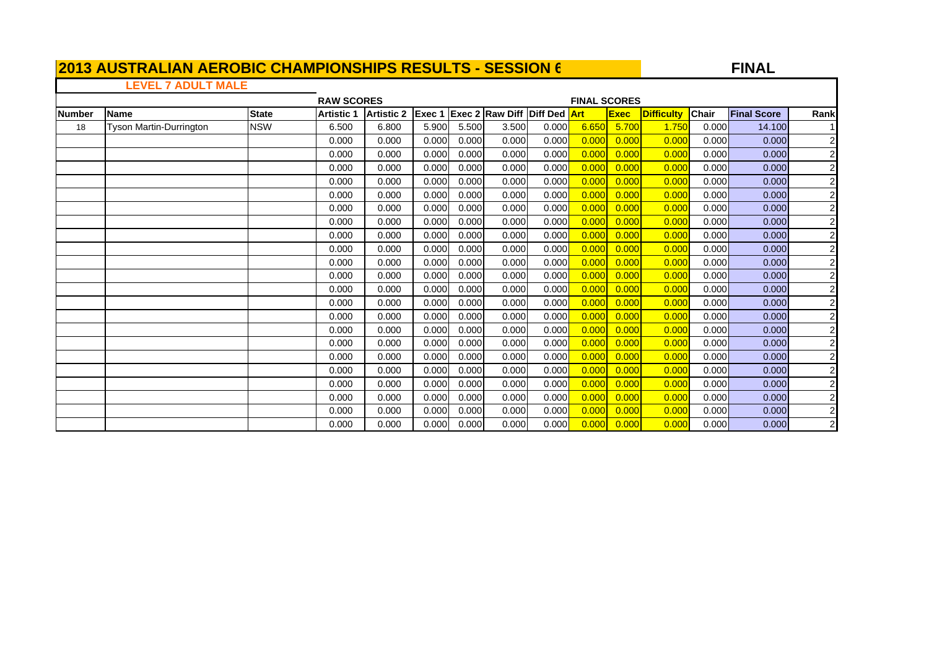**FINA L**

#### **LEVEL 7 ADULT MALE**

|               |                                |              | <b>RAW SCORES</b> |                   |        |       |                                     |       | <b>FINAL SCORES</b> |             |            |              |                    |                |
|---------------|--------------------------------|--------------|-------------------|-------------------|--------|-------|-------------------------------------|-------|---------------------|-------------|------------|--------------|--------------------|----------------|
| <b>Number</b> | Name                           | <b>State</b> | <b>Artistic 1</b> | <b>Artistic 2</b> | Exec 1 |       | <b>Exec 2 Raw Diff Diff Ded Art</b> |       |                     | <b>Exec</b> | Difficulty | <b>Chair</b> | <b>Final Score</b> | Rank           |
| 18            | <b>Tyson Martin-Durrington</b> | <b>NSW</b>   | 6.500             | 6.800             | 5.900  | 5.500 | 3.500                               | 0.000 | 6.650               | 5.700       | 1.750      | 0.000        | 14.100             |                |
|               |                                |              | 0.000             | 0.000             | 0.000  | 0.000 | 0.000                               | 0.000 | 0.000               | 0.000       | 0.000      | 0.000        | 0.000              |                |
|               |                                |              | 0.000             | 0.000             | 0.000  | 0.000 | 0.000                               | 0.000 | 0.000               | 0.000       | 0.000      | 0.000        | 0.000              |                |
|               |                                |              | 0.000             | 0.000             | 0.000  | 0.000 | 0.000                               | 0.000 | 0.000               | 0.000       | 0.000      | 0.000        | 0.000              |                |
|               |                                |              | 0.000             | 0.000             | 0.000  | 0.000 | 0.000                               | 0.000 | 0.000               | 0.000       | 0.000      | 0.000        | 0.000              | $\overline{2}$ |
|               |                                |              | 0.000             | 0.000             | 0.000  | 0.000 | 0.000                               | 0.000 | 0.000               | 0.000       | 0.000      | 0.000        | 0.000              |                |
|               |                                |              | 0.000             | 0.000             | 0.000  | 0.000 | 0.000                               | 0.000 | 0.000               | 0.000       | 0.000      | 0.000        | 0.000              | $\overline{2}$ |
|               |                                |              | 0.000             | 0.000             | 0.000  | 0.000 | 0.000                               | 0.000 | 0.000               | 0.000       | 0.000      | 0.000        | 0.000              |                |
|               |                                |              | 0.000             | 0.000             | 0.000  | 0.000 | 0.000                               | 0.000 | 0.000               | 0.000       | 0.000      | 0.000        | 0.000              | $\overline{2}$ |
|               |                                |              | 0.000             | 0.000             | 0.000  | 0.000 | 0.000                               | 0.000 | 0.000               | 0.000       | 0.000      | 0.000        | 0.000              |                |
|               |                                |              | 0.000             | 0.000             | 0.000  | 0.000 | 0.000                               | 0.000 | 0.000               | 0.000       | 0.000      | 0.000        | 0.000              |                |
|               |                                |              | 0.000             | 0.000             | 0.000  | 0.000 | 0.000                               | 0.000 | 0.000               | 0.000       | 0.000      | 0.000        | 0.000              |                |
|               |                                |              | 0.000             | 0.000             | 0.000  | 0.000 | 0.000                               | 0.000 | 0.000               | 0.000       | 0.000      | 0.000        | 0.000              | $\overline{a}$ |
|               |                                |              | 0.000             | 0.000             | 0.000  | 0.000 | 0.000                               | 0.000 | 0.000               | 0.000       | 0.000      | 0.000        | 0.000              | $\overline{c}$ |
|               |                                |              | 0.000             | 0.000             | 0.000  | 0.000 | 0.000                               | 0.000 | 0.000               | 0.000       | 0.000      | 0.000        | 0.000              | $\overline{2}$ |
|               |                                |              | 0.000             | 0.000             | 0.000  | 0.000 | 0.000                               | 0.000 | 0.000               | 0.000       | 0.000      | 0.000        | 0.000              | $\overline{2}$ |
|               |                                |              | 0.000             | 0.000             | 0.000  | 0.000 | 0.000                               | 0.000 | 0.000               | 0.000       | 0.000      | 0.000        | 0.000              | $\overline{2}$ |
|               |                                |              | 0.000             | 0.000             | 0.000  | 0.000 | 0.000                               | 0.000 | 0.000               | 0.000       | 0.000      | 0.000        | 0.000              | 2              |
|               |                                |              | 0.000             | 0.000             | 0.000  | 0.000 | 0.000                               | 0.000 | 0.000               | 0.000       | 0.000      | 0.000        | 0.000              | $\overline{2}$ |
|               |                                |              | 0.000             | 0.000             | 0.000  | 0.000 | 0.000                               | 0.000 | 0.000               | 0.000       | 0.000      | 0.000        | 0.000              |                |
|               |                                |              | 0.000             | 0.000             | 0.000  | 0.000 | 0.000                               | 0.000 | 0.000               | 0.000       | 0.000      | 0.000        | 0.000              |                |
|               |                                |              | 0.000             | 0.000             | 0.000  | 0.000 | 0.000                               | 0.000 | 0.000               | 0.000       | 0.000      | 0.000        | 0.000              | $\overline{a}$ |
|               |                                |              | 0.000             | 0.000             | 0.000  | 0.000 | 0.000                               | 0.000 | $\vert 0.000 \vert$ | 0.000       | 0.000      | 0.000        | 0.000              | $\overline{2}$ |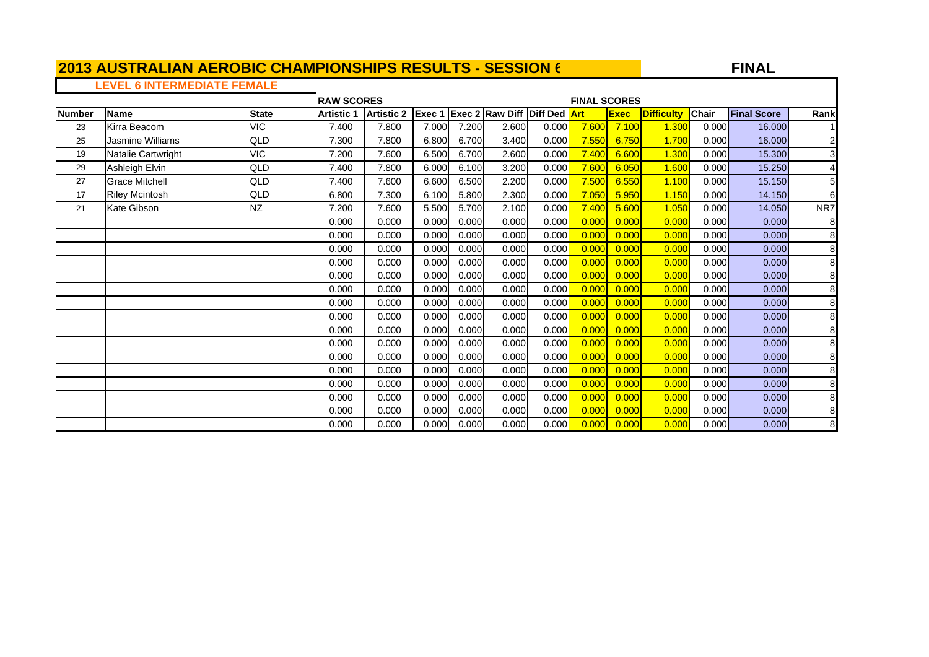**FINA L**

# **LEVEL 6 INTERMEDIATE FEMALE**

|               |                         |              | <b>RAW SCORES</b> |                   |        |       |                                     |       | <b>FINAL SCORES</b> |             |                   |              |                    |                |
|---------------|-------------------------|--------------|-------------------|-------------------|--------|-------|-------------------------------------|-------|---------------------|-------------|-------------------|--------------|--------------------|----------------|
| <b>Number</b> | <b>Name</b>             | <b>State</b> | <b>Artistic 1</b> | <b>Artistic 2</b> | Exec 1 |       | <b>Exec 2 Raw Diff Diff Ded Art</b> |       |                     | <b>Exec</b> | <b>Difficulty</b> | <b>Chair</b> | <b>Final Score</b> | Rank           |
| 23            | Kirra Beacom            | VIC          | 7.400             | 7.800             | 7.000  | 7.200 | 2.600                               | 0.000 | 7.600               | 7.100       | 1.300             | 0.000        | 16.000             |                |
| 25            | <b>Jasmine Williams</b> | QLD          | 7.300             | 7.800             | 6.800  | 6.700 | 3.400                               | 0.000 | 7.550               | 6.750       | 1.700             | 0.000        | 16,000             | $\overline{2}$ |
| 19            | Natalie Cartwright      | <b>VIC</b>   | 7.200             | 7.600             | 6.500  | 6.700 | 2.600                               | 0.000 | 7.400               | 6.600       | 1.300             | 0.000        | 15.300             | 3 <sub>l</sub> |
| 29            | Ashleigh Elvin          | QLD          | 7.400             | 7.800             | 6.000  | 6.100 | 3.200                               | 0.000 | 7.600               | 6.050       | 1.600             | 0.000        | 15.250             |                |
| 27            | <b>Grace Mitchell</b>   | QLD          | 7.400             | 7.600             | 6.600  | 6.500 | 2.200                               | 0.000 | 7.500               | 6.550       | 1.100             | 0.000        | 15.150             |                |
| 17            | <b>Riley Mcintosh</b>   | QLD          | 6.800             | 7.300             | 6.100  | 5.800 | 2.300                               | 0.000 | 7.050               | 5.950       | 1.150             | 0.000        | 14.150             | 6              |
| 21            | Kate Gibson             | NZ           | 7.200             | 7.600             | 5.500  | 5.700 | 2.100                               | 0.000 | 7.400               | 5.600       | 1.050             | 0.000        | 14.050             | NR7            |
|               |                         |              | 0.000             | 0.000             | 0.000  | 0.000 | 0.000                               | 0.000 | 0.000               | 0.000       | 0.000             | 0.000        | 0.000              | 8              |
|               |                         |              | 0.000             | 0.000             | 0.000  | 0.000 | 0.000                               | 0.000 | 0.000               | 0.000       | 0.000             | 0.000        | 0.000              | 8              |
|               |                         |              | 0.000             | 0.000             | 0.000  | 0.000 | 0.000                               | 0.000 | 0.000               | 0.000       | 0.000             | 0.000        | 0.000              | 8              |
|               |                         |              | 0.000             | 0.000             | 0.000  | 0.000 | 0.000                               | 0.000 | 0.000               | 0.000       | 0.000             | 0.000        | 0.000              | 8              |
|               |                         |              | 0.000             | 0.000             | 0.000  | 0.000 | 0.000                               | 0.000 | 0.000               | 0.000       | 0.000             | 0.000        | 0.000              | 8              |
|               |                         |              | 0.000             | 0.000             | 0.000  | 0.000 | 0.000                               | 0.000 | 0.000               | 0.000       | 0.000             | 0.000        | 0.000              | 8              |
|               |                         |              | 0.000             | 0.000             | 0.000  | 0.000 | 0.000                               | 0.000 | 0.000               | 0.000       | 0.000             | 0.000        | 0.000              | 8              |
|               |                         |              | 0.000             | 0.000             | 0.000  | 0.000 | 0.000                               | 0.000 | 0.000               | 0.000       | 0.000             | 0.000        | 0.000              | 8              |
|               |                         |              | 0.000             | 0.000             | 0.000  | 0.000 | 0.000                               | 0.000 | 0.000               | 0.000       | 0.000             | 0.000        | 0.000              | 8              |
|               |                         |              | 0.000             | 0.000             | 0.000  | 0.000 | 0.000                               | 0.000 | 0.000               | 0.000       | 0.000             | 0.000        | 0.000              | 8              |
|               |                         |              | 0.000             | 0.000             | 0.000  | 0.000 | 0.000                               | 0.000 | 0.000               | 0.000       | 0.000             | 0.000        | 0.000              | 8              |
|               |                         |              | 0.000             | 0.000             | 0.000  | 0.000 | 0.000                               | 0.000 | 0.000               | 0.000       | 0.000             | 0.000        | 0.000              | 8              |
|               |                         |              | 0.000             | 0.000             | 0.000  | 0.000 | 0.000                               | 0.000 | 0.000               | 0.000       | 0.000             | 0.000        | 0.000              | 8              |
|               |                         |              | 0.000             | 0.000             | 0.000  | 0.000 | 0.000                               | 0.000 | 0.000               | 0.000       | 0.000             | 0.000        | 0.000              | 8              |
|               |                         |              | 0.000             | 0.000             | 0.000  | 0.000 | 0.000                               | 0.000 | 0.000               | 0.000       | 0.000             | 0.000        | 0.000              | 8              |
|               |                         |              | 0.000             | 0.000             | 0.000  | 0.000 | 0.000                               | 0.000 | 0.000               | 0.000       | 0.000             | 0.000        | 0.000              | 8              |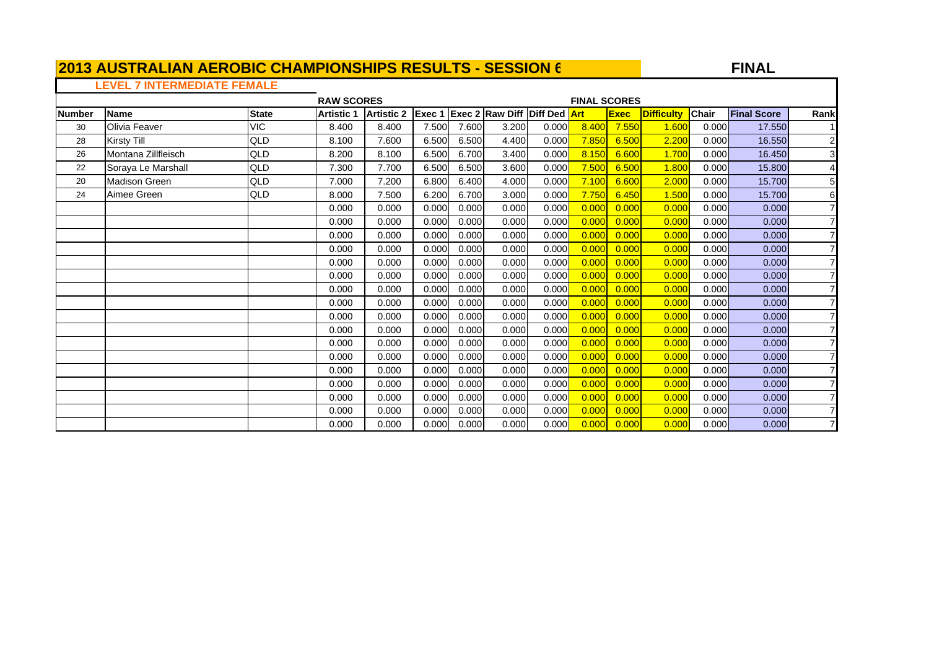**FINA L**

# **LEVEL 7 INTERMEDIATE FEMALE**

 $\Gamma$ 

|        |                      |              | <b>RAW SCORES</b> |                   |       |       |                                            |       | <b>FINAL SCORES</b> |             |                   |              |                    |                |
|--------|----------------------|--------------|-------------------|-------------------|-------|-------|--------------------------------------------|-------|---------------------|-------------|-------------------|--------------|--------------------|----------------|
| Number | <b>Name</b>          | <b>State</b> | <b>Artistic 1</b> | <b>Artistic 2</b> |       |       | <b>Exec 1 Exec 2 Raw Diff Diff Ded Art</b> |       |                     | <b>Exec</b> | <b>Difficulty</b> | <b>Chair</b> | <b>Final Score</b> | Rank           |
| 30     | Olivia Feaver        | <b>VIC</b>   | 8.400             | 8.400             | 7.500 | 7.600 | 3.200                                      | 0.000 | 8.400               | 7.550       | 1.600             | 0.000        | 17.550             |                |
| 28     | <b>Kirsty Till</b>   | QLD          | 8.100             | 7.600             | 6.500 | 6.500 | 4.400                                      | 0.000 | 7.850               | 6.500       | 2.200             | 0.000        | 16.550             | $\overline{c}$ |
| 26     | Montana Zillfleisch  | QLD          | 8.200             | 8.100             | 6.500 | 6.700 | 3.400                                      | 0.000 | 8.150               | 6.600       | 1.700             | 0.000        | 16.450             | 3 <sub>l</sub> |
| 22     | Soraya Le Marshall   | QLD          | 7.300             | 7.700             | 6.500 | 6.500 | 3.600                                      | 0.000 | 7.500               | 6.500       | 1.800             | 0.000        | 15.800             |                |
| 20     | <b>Madison Green</b> | QLD          | 7.000             | 7.200             | 6.800 | 6.400 | 4.000                                      | 0.000 | 7.100               | 6.600       | 2.000             | 0.000        | 15.700             | 5              |
| 24     | Aimee Green          | QLD          | 8.000             | 7.500             | 6.200 | 6.700 | 3.000                                      | 0.000 | 7.750               | 6.450       | 1.500             | 0.000        | 15.700             | 6              |
|        |                      |              | 0.000             | 0.000             | 0.000 | 0.000 | 0.000                                      | 0.000 | 0.000               | 0.000       | 0.000             | 0.000        | 0.000              |                |
|        |                      |              | 0.000             | 0.000             | 0.000 | 0.000 | 0.000                                      | 0.000 | 0.000               | 0.000       | 0.000             | 0.000        | 0.000              |                |
|        |                      |              | 0.000             | 0.000             | 0.000 | 0.000 | 0.000                                      | 0.000 | 0.000               | 0.000       | 0.000             | 0.000        | 0.000              |                |
|        |                      |              | 0.000             | 0.000             | 0.000 | 0.000 | 0.000                                      | 0.000 | 0.000               | 0.000       | 0.000             | 0.000        | 0.000              |                |
|        |                      |              | 0.000             | 0.000             | 0.000 | 0.000 | 0.000                                      | 0.000 | 0.000               | 0.000       | 0.000             | 0.000        | 0.000              |                |
|        |                      |              | 0.000             | 0.000             | 0.000 | 0.000 | 0.000                                      | 0.000 | 0.000               | 0.000       | 0.000             | 0.000        | 0.000              |                |
|        |                      |              | 0.000             | 0.000             | 0.000 | 0.000 | 0.000                                      | 0.000 | 0.000               | 0.000       | 0.000             | 0.000        | 0.000              |                |
|        |                      |              | 0.000             | 0.000             | 0.000 | 0.000 | 0.000                                      | 0.000 | 0.000               | 0.000       | 0.000             | 0.000        | 0.000              |                |
|        |                      |              | 0.000             | 0.000             | 0.000 | 0.000 | 0.000                                      | 0.000 | 0.000               | 0.000       | 0.000             | 0.000        | 0.000              |                |
|        |                      |              | 0.000             | 0.000             | 0.000 | 0.000 | 0.000                                      | 0.000 | 0.000               | 0.000       | 0.000             | 0.000        | 0.000              |                |
|        |                      |              | 0.000             | 0.000             | 0.000 | 0.000 | 0.000                                      | 0.000 | 0.000               | 0.000       | 0.000             | 0.000        | 0.000              |                |
|        |                      |              | 0.000             | 0.000             | 0.000 | 0.000 | 0.000                                      | 0.000 | 0.000               | 0.000       | 0.000             | 0.000        | 0.000              |                |
|        |                      |              | 0.000             | 0.000             | 0.000 | 0.000 | 0.000                                      | 0.000 | 0.000               | 0.000       | 0.000             | 0.000        | 0.000              |                |
|        |                      |              | 0.000             | 0.000             | 0.000 | 0.000 | 0.000                                      | 0.000 | 0.000               | 0.000       | 0.000             | 0.000        | 0.000              |                |
|        |                      |              | 0.000             | 0.000             | 0.000 | 0.000 | 0.000                                      | 0.000 | 0.000               | 0.000       | 0.000             | 0.000        | 0.000              |                |
|        |                      |              | 0.000             | 0.000             | 0.000 | 0.000 | 0.000                                      | 0.000 | 0.000               | 0.000       | 0.000             | 0.000        | 0.000              |                |
|        |                      |              | 0.000             | 0.000             | 0.000 | 0.000 | 0.000                                      | 0.000 | 0.000               | 0.000       | 0.000             | 0.000        | 0.000              |                |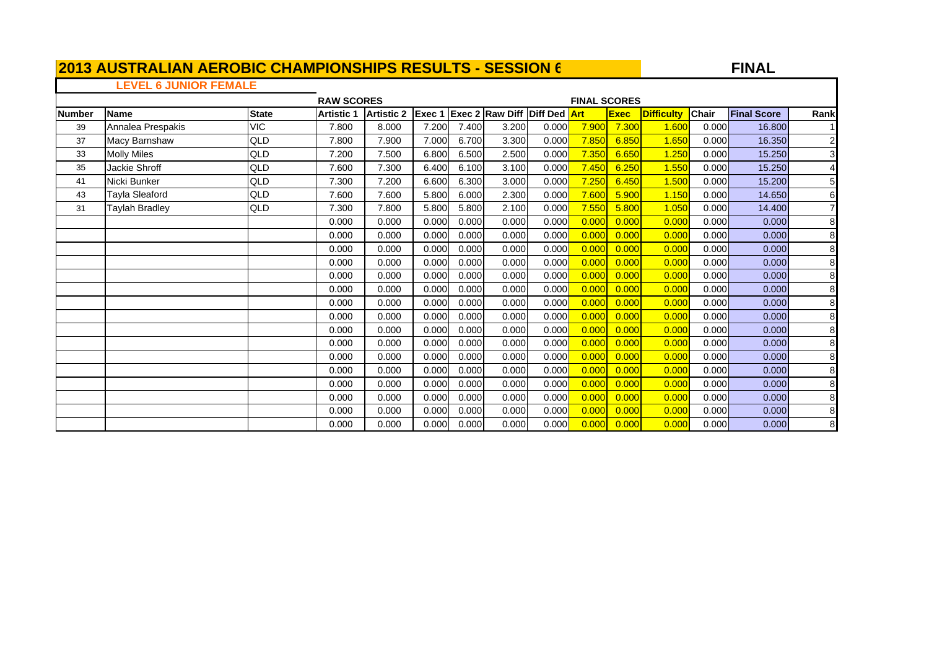**FINA L**

#### **LEVEL 6 JUNIOR FEMALE**

|        |                       |              | <b>RAW SCORES</b> |                   |        |       |                                     |       | <b>FINAL SCORES</b> |             |                   |              |                    |                |
|--------|-----------------------|--------------|-------------------|-------------------|--------|-------|-------------------------------------|-------|---------------------|-------------|-------------------|--------------|--------------------|----------------|
| Number | <b>Name</b>           | <b>State</b> | <b>Artistic 1</b> | <b>Artistic 2</b> | Exec 1 |       | <b>Exec 2 Raw Diff Diff Ded Art</b> |       |                     | <b>Exec</b> | <b>Difficulty</b> | <b>Chair</b> | <b>Final Score</b> | Rank           |
| 39     | Annalea Prespakis     | <b>VIC</b>   | 7.800             | 8.000             | 7.200  | 7.400 | 3.200                               | 0.000 | 7.900               | 7.300       | 1.600             | 0.000        | 16.800             |                |
| 37     | Macy Barnshaw         | QLD          | 7.800             | 7.900             | 7.000  | 6.700 | 3.300                               | 0.000 | 7.850               | 6.850       | 1.650             | 0.000        | 16.350             | $\overline{c}$ |
| 33     | <b>Molly Miles</b>    | QLD          | 7.200             | 7.500             | 6.800  | 6.500 | 2.500                               | 0.000 | 7.350               | 6.650       | 1.250             | 0.000        | 15.250             | 3              |
| 35     | Jackie Shroff         | QLD          | 7.600             | 7.300             | 6.400  | 6.100 | 3.100                               | 0.000 | 7.450               | 6.250       | 1.550             | 0.000        | 15.250             |                |
| 41     | Nicki Bunker          | QLD          | 7.300             | 7.200             | 6.600  | 6.300 | 3.000                               | 0.000 | 7.250               | 6.450       | 1.500             | 0.000        | 15.200             | 5              |
| 43     | Tayla Sleaford        | QLD          | 7.600             | 7.600             | 5.800  | 6.000 | 2.300                               | 0.000 | 7.600               | 5.900       | 1.150             | 0.000        | 14.650             | 6              |
| 31     | <b>Taylah Bradley</b> | QLD          | 7.300             | 7.800             | 5.800  | 5.800 | 2.100                               | 0.000 | 7.550               | 5.800       | 1.050             | 0.000        | 14.400             |                |
|        |                       |              | 0.000             | 0.000             | 0.000  | 0.000 | 0.000                               | 0.000 | 0.000               | 0.000       | 0.000             | 0.000        | 0.000              | 8              |
|        |                       |              | 0.000             | 0.000             | 0.000  | 0.000 | 0.000                               | 0.000 | 0.000               | 0.000       | 0.000             | 0.000        | 0.000              | 8              |
|        |                       |              | 0.000             | 0.000             | 0.000  | 0.000 | 0.000                               | 0.000 | 0.000               | 0.000       | 0.000             | 0.000        | 0.000              | 8              |
|        |                       |              | 0.000             | 0.000             | 0.000  | 0.000 | 0.000                               | 0.000 | 0.000               | 0.000       | 0.000             | 0.000        | 0.000              | 8              |
|        |                       |              | 0.000             | 0.000             | 0.000  | 0.000 | 0.000                               | 0.000 | 0.000               | 0.000       | 0.000             | 0.000        | 0.000              | 8              |
|        |                       |              | 0.000             | 0.000             | 0.000  | 0.000 | 0.000                               | 0.000 | 0.000               | 0.000       | 0.000             | 0.000        | 0.000              | 8              |
|        |                       |              | 0.000             | 0.000             | 0.000  | 0.000 | 0.000                               | 0.000 | 0.000               | 0.000       | 0.000             | 0.000        | 0.000              | 8              |
|        |                       |              | 0.000             | 0.000             | 0.000  | 0.000 | 0.000                               | 0.000 | 0.000               | 0.000       | 0.000             | 0.000        | 0.000              | 8              |
|        |                       |              | 0.000             | 0.000             | 0.000  | 0.000 | 0.000                               | 0.000 | 0.000               | 0.000       | 0.000             | 0.000        | 0.000              | 8              |
|        |                       |              | 0.000             | 0.000             | 0.000  | 0.000 | 0.000                               | 0.000 | 0.000               | 0.000       | 0.000             | 0.000        | 0.000              | 8              |
|        |                       |              | 0.000             | 0.000             | 0.000  | 0.000 | 0.000                               | 0.000 | 0.000               | 0.000       | 0.000             | 0.000        | 0.000              | 8              |
|        |                       |              | 0.000             | 0.000             | 0.000  | 0.000 | 0.000                               | 0.000 | 0.000               | 0.000       | 0.000             | 0.000        | 0.000              | 8              |
|        |                       |              | 0.000             | 0.000             | 0.000  | 0.000 | 0.000                               | 0.000 | 0.000               | 0.000       | 0.000             | 0.000        | 0.000              | 8              |
|        |                       |              | 0.000             | 0.000             | 0.000  | 0.000 | 0.000                               | 0.000 | 0.000               | 0.000       | 0.000             | 0.000        | 0.000              | 8              |
|        |                       |              | 0.000             | 0.000             | 0.000  | 0.000 | 0.000                               | 0.000 | 0.000               | 0.000       | 0.000             | 0.000        | 0.000              | 8              |
|        |                       |              | 0.000             | 0.000             | 0.000  | 0.000 | 0.000                               | 0.000 | 0.000               | 0.000       | 0.000             | 0.000        | 0.000              | 8              |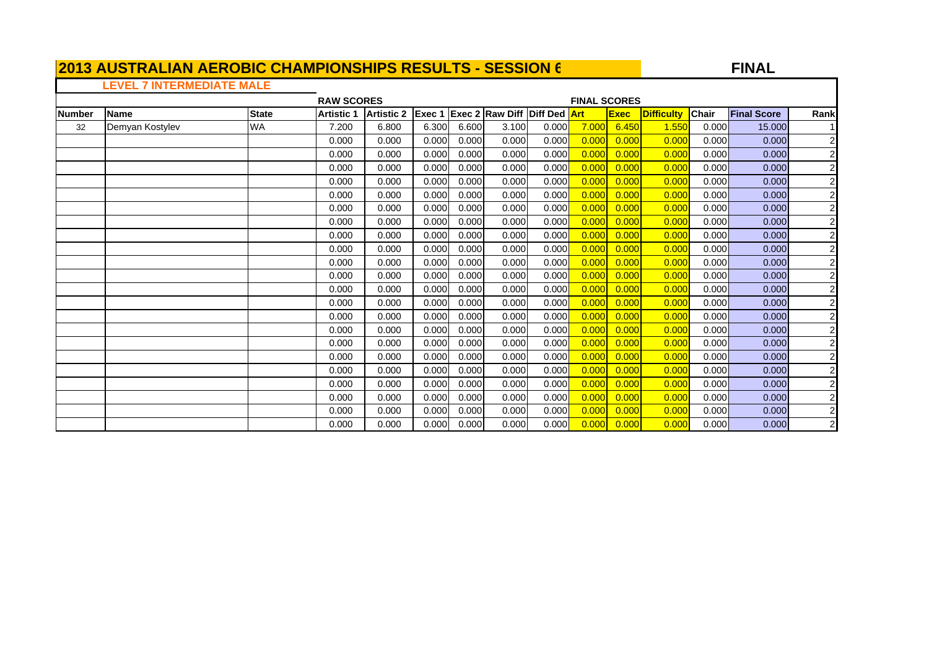**FINA L**

# **LEVEL 7 INTERMEDIATE MALE**

|               |                 |              | <b>RAW SCORES</b> |                   |        |       |                                     |       | <b>FINAL SCORES</b> |             |                   |              |                    |                |
|---------------|-----------------|--------------|-------------------|-------------------|--------|-------|-------------------------------------|-------|---------------------|-------------|-------------------|--------------|--------------------|----------------|
| <b>Number</b> | Name            | <b>State</b> | <b>Artistic 1</b> | <b>Artistic 2</b> | Exec 1 |       | <b>Exec 2 Raw Diff Diff Ded Art</b> |       |                     | <b>Exec</b> | <b>Difficulty</b> | <b>Chair</b> | <b>Final Score</b> | Rank           |
| 32            | Demyan Kostylev | <b>WA</b>    | 7.200             | 6.800             | 6.300  | 6.600 | 3.100                               | 0.000 | 7.000               | 6.450       | 1.550             | 0.000        | 15,000             |                |
|               |                 |              | 0.000             | 0.000             | 0.000  | 0.000 | 0.000                               | 0.000 | 0.000               | 0.000       | 0.000             | 0.000        | 0.000              | $\overline{2}$ |
|               |                 |              | 0.000             | 0.000             | 0.000  | 0.000 | 0.000                               | 0.000 | 0.000               | 0.000       | 0.000             | 0.000        | 0.000              | $\overline{2}$ |
|               |                 |              | 0.000             | 0.000             | 0.000  | 0.000 | 0.000                               | 0.000 | 0.000               | 0.000       | 0.000             | 0.000        | 0.000              | $\overline{2}$ |
|               |                 |              | 0.000             | 0.000             | 0.000  | 0.000 | 0.000                               | 0.000 | 0.000               | 0.000       | 0.000             | 0.000        | 0.000              | $\overline{2}$ |
|               |                 |              | 0.000             | 0.000             | 0.000  | 0.000 | 0.000                               | 0.000 | 0.000               | 0.000       | 0.000             | 0.000        | 0.000              | $\overline{2}$ |
|               |                 |              | 0.000             | 0.000             | 0.000  | 0.000 | 0.000                               | 0.000 | 0.000               | 0.000       | 0.000             | 0.000        | 0.000              | $\overline{2}$ |
|               |                 |              | 0.000             | 0.000             | 0.000  | 0.000 | 0.000                               | 0.000 | 0.000               | 0.000       | 0.000             | 0.000        | 0.000              | $\overline{2}$ |
|               |                 |              | 0.000             | 0.000             | 0.000  | 0.000 | 0.000                               | 0.000 | 0.000               | 0.000       | 0.000             | 0.000        | 0.000              | 2              |
|               |                 |              | 0.000             | 0.000             | 0.000  | 0.000 | 0.000                               | 0.000 | 0.000               | 0.000       | 0.000             | 0.000        | 0.000              |                |
|               |                 |              | 0.000             | 0.000             | 0.000  | 0.000 | 0.000                               | 0.000 | 0.000               | 0.000       | 0.000             | 0.000        | 0.000              | $\overline{2}$ |
|               |                 |              | 0.000             | 0.000             | 0.000  | 0.000 | 0.000                               | 0.000 | 0.000               | 0.000       | 0.000             | 0.000        | 0.000              |                |
|               |                 |              | 0.000             | 0.000             | 0.000  | 0.000 | 0.000                               | 0.000 | 0.000               | 0.000       | 0.000             | 0.000        | 0.000              |                |
|               |                 |              | 0.000             | 0.000             | 0.000  | 0.000 | 0.000                               | 0.000 | 0.000               | 0.000       | 0.000             | 0.000        | 0.000              | $\overline{2}$ |
|               |                 |              | 0.000             | 0.000             | 0.000  | 0.000 | 0.000                               | 0.000 | 0.000               | 0.000       | 0.000             | 0.000        | 0.000              |                |
|               |                 |              | 0.000             | 0.000             | 0.000  | 0.000 | 0.000                               | 0.000 | 0.000               | 0.000       | 0.000             | 0.000        | 0.000              | $\overline{2}$ |
|               |                 |              | 0.000             | 0.000             | 0.000  | 0.000 | 0.000                               | 0.000 | 0.000               | 0.000       | 0.000             | 0.000        | 0.000              | $\overline{2}$ |
|               |                 |              | 0.000             | 0.000             | 0.000  | 0.000 | 0.000                               | 0.000 | 0.000               | 0.000       | 0.000             | 0.000        | 0.000              | $\overline{2}$ |
|               |                 |              | 0.000             | 0.000             | 0.000  | 0.000 | 0.000                               | 0.000 | 0.000               | 0.000       | 0.000             | 0.000        | 0.000              | $\overline{2}$ |
|               |                 |              | 0.000             | 0.000             | 0.000  | 0.000 | 0.000                               | 0.000 | 0.000               | 0.000       | 0.000             | 0.000        | 0.000              | $\overline{2}$ |
|               |                 |              | 0.000             | 0.000             | 0.000  | 0.000 | 0.000                               | 0.000 | 0.000               | 0.000       | 0.000             | 0.000        | 0.000              | $\overline{2}$ |
|               |                 |              | 0.000             | 0.000             | 0.000  | 0.000 | 0.000                               | 0.000 | 0.000               | 0.000       | 0.000             | 0.000        | 0.000              | $\overline{2}$ |
|               |                 |              | 0.000             | 0.000             | 0.000  | 0.000 | 0.000                               | 0.000 | 0.000               | 0.000       | 0.000             | 0.000        | 0.000              | $\overline{a}$ |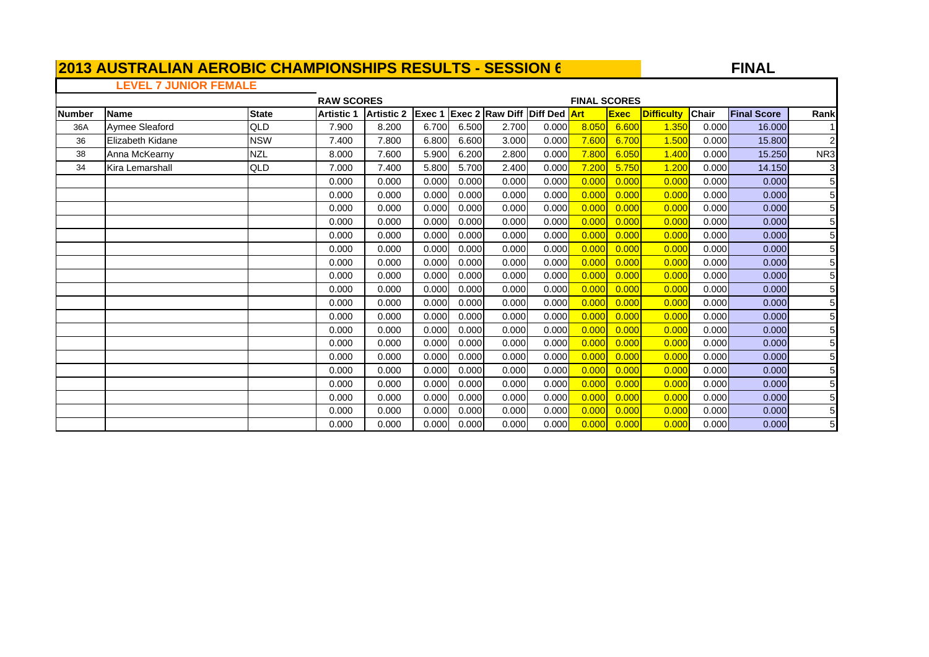**FINA L**

#### **LEVEL 7 JUNIOR FEMALE** $\overline{a}$

|               |                         |              | <b>RAW SCORES</b> |                   |        |       |                                     |       | <b>FINAL SCORES</b> |             |                   |              |                    |                 |
|---------------|-------------------------|--------------|-------------------|-------------------|--------|-------|-------------------------------------|-------|---------------------|-------------|-------------------|--------------|--------------------|-----------------|
| <b>Number</b> | <b>Name</b>             | <b>State</b> | <b>Artistic 1</b> | <b>Artistic 2</b> | Exec 1 |       | <b>Exec 2 Raw Diff Diff Ded Art</b> |       |                     | <b>Exec</b> | <b>Difficulty</b> | <b>Chair</b> | <b>Final Score</b> | Rank            |
| 36A           | Aymee Sleaford          | QLD          | 7.900             | 8.200             | 6.700  | 6.500 | 2.700                               | 0.000 | 8.050               | 6.600       | 1.350             | 0.000        | 16,000             |                 |
| 36            | <b>Elizabeth Kidane</b> | <b>NSW</b>   | 7.400             | 7.800             | 6.800  | 6.600 | 3.000                               | 0.000 | 7.600               | 6.700       | 1.500             | 0.000        | 15.800             | $\overline{2}$  |
| 38            | Anna McKearny           | <b>NZL</b>   | 8.000             | 7.600             | 5.900  | 6.200 | 2.800                               | 0.000 | 7.800               | 6.050       | 1.400             | 0.000        | 15.250             | NR <sub>3</sub> |
| 34            | Kira Lemarshall         | QLD          | 7.000             | 7.400             | 5.800  | 5.700 | 2.400                               | 0.000 | 7.200               | 5.750       | 1.200             | 0.000        | 14.150             | 3               |
|               |                         |              | 0.000             | 0.000             | 0.000  | 0.000 | 0.000                               | 0.000 | 0.000               | 0.000       | 0.000             | 0.000        | 0.000              | 5               |
|               |                         |              | 0.000             | 0.000             | 0.000  | 0.000 | 0.000                               | 0.000 | 0.000               | 0.000       | 0.000             | 0.000        | 0.000              | 5               |
|               |                         |              | 0.000             | 0.000             | 0.000  | 0.000 | 0.000                               | 0.000 | 0.000               | 0.000       | 0.000             | 0.000        | 0.000              | 5               |
|               |                         |              | 0.000             | 0.000             | 0.000  | 0.000 | 0.000                               | 0.000 | 0.000               | 0.000       | 0.000             | 0.000        | 0.000              | 5               |
|               |                         |              | 0.000             | 0.000             | 0.000  | 0.000 | 0.000                               | 0.000 | 0.000               | 0.000       | 0.000             | 0.000        | 0.000              | 5               |
|               |                         |              | 0.000             | 0.000             | 0.000  | 0.000 | 0.000                               | 0.000 | 0.000               | 0.000       | 0.000             | 0.000        | 0.000              | 5               |
|               |                         |              | 0.000             | 0.000             | 0.000  | 0.000 | 0.000                               | 0.000 | 0.000               | 0.000       | 0.000             | 0.000        | 0.000              | 5               |
|               |                         |              | 0.000             | 0.000             | 0.000  | 0.000 | 0.000                               | 0.000 | 0.000               | 0.000       | 0.000             | 0.000        | 0.000              | 5               |
|               |                         |              | 0.000             | 0.000             | 0.000  | 0.000 | 0.000                               | 0.000 | 0.000               | 0.000       | 0.000             | 0.000        | 0.000              | 5               |
|               |                         |              | 0.000             | 0.000             | 0.000  | 0.000 | 0.000                               | 0.000 | 0.000               | 0.000       | 0.000             | 0.000        | 0.000              | 5               |
|               |                         |              | 0.000             | 0.000             | 0.000  | 0.000 | 0.000                               | 0.000 | 0.000               | 0.000       | 0.000             | 0.000        | 0.000              | 5               |
|               |                         |              | 0.000             | 0.000             | 0.000  | 0.000 | 0.000                               | 0.000 | 0.000               | 0.000       | 0.000             | 0.000        | 0.000              | 5               |
|               |                         |              | 0.000             | 0.000             | 0.000  | 0.000 | 0.000                               | 0.000 | 0.000               | 0.000       | 0.000             | 0.000        | 0.000              | 5               |
|               |                         |              | 0.000             | 0.000             | 0.000  | 0.000 | 0.000                               | 0.000 | 0.000               | 0.000       | 0.000             | 0.000        | 0.000              | 5               |
|               |                         |              | 0.000             | 0.000             | 0.000  | 0.000 | 0.000                               | 0.000 | 0.000               | 0.000       | 0.000             | 0.000        | 0.000              | 5               |
|               |                         |              | 0.000             | 0.000             | 0.000  | 0.000 | 0.000                               | 0.000 | 0.000               | 0.000       | 0.000             | 0.000        | 0.000              | 5 <sup>1</sup>  |
|               |                         |              | 0.000             | 0.000             | 0.000  | 0.000 | 0.000                               | 0.000 | 0.000               | 0.000       | 0.000             | 0.000        | 0.000              | $5\overline{)}$ |
|               |                         |              | 0.000             | 0.000             | 0.000  | 0.000 | 0.000                               | 0.000 | 0.000               | 0.000       | 0.000             | 0.000        | 0.000              | $5\overline{)}$ |
|               |                         |              | 0.000             | 0.000             | 0.000  | 0.000 | 0.000                               | 0.000 | 0.000               | 0.000       | 0.000             | 0.000        | 0.000              | 5               |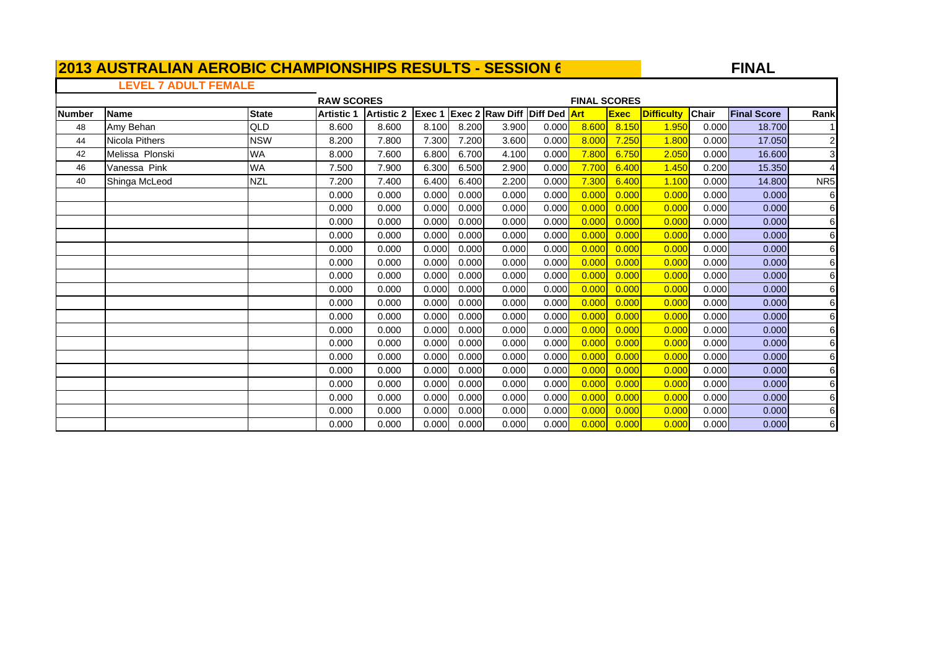**FINA L**

#### **LEVEL 7 ADULT FEMALE**

|               |                 |              | <b>RAW SCORES</b> |                   |        |       |                                     |       | <b>FINAL SCORES</b> |             |                   |              |                    |                 |
|---------------|-----------------|--------------|-------------------|-------------------|--------|-------|-------------------------------------|-------|---------------------|-------------|-------------------|--------------|--------------------|-----------------|
| <b>Number</b> | <b>Name</b>     | <b>State</b> | <b>Artistic 1</b> | <b>Artistic 2</b> | Exec 1 |       | <b>Exec 2 Raw Diff Diff Ded Art</b> |       |                     | <b>Exec</b> | <b>Difficulty</b> | <b>Chair</b> | <b>Final Score</b> | Rank            |
| 48            | Amy Behan       | QLD          | 8.600             | 8.600             | 8.100  | 8.200 | 3.900                               | 0.000 | 8.600               | 8.150       | 1.950             | 0.000        | 18.700             |                 |
| 44            | Nicola Pithers  | <b>NSW</b>   | 8.200             | 7.800             | 7.300  | 7.200 | 3.600                               | 0.000 | 8.000               | 7.250       | 1.800             | 0.000        | 17.050             | $\overline{2}$  |
| 42            | Melissa Plonski | <b>WA</b>    | 8.000             | 7.600             | 6.800  | 6.700 | 4.100                               | 0.000 | 7.800               | 6.750       | 2.050             | 0.000        | 16.600             | 3 <sub>l</sub>  |
| 46            | Vanessa Pink    | <b>WA</b>    | 7.500             | 7.900             | 6.300  | 6.500 | 2.900                               | 0.000 | 7.700               | 6.400       | 1.450             | 0.200        | 15.350             | 4               |
| 40            | Shinga McLeod   | <b>NZL</b>   | 7.200             | 7.400             | 6.400  | 6.400 | 2.200                               | 0.000 | 7.300               | 6.400       | 1.100             | 0.000        | 14.800             | NR <sub>5</sub> |
|               |                 |              | 0.000             | 0.000             | 0.000  | 0.000 | 0.000                               | 0.000 | 0.000               | 0.000       | 0.000             | 0.000        | 0.000              | 6               |
|               |                 |              | 0.000             | 0.000             | 0.000  | 0.000 | 0.000                               | 0.000 | 0.000               | 0.000       | 0.000             | 0.000        | 0.000              | 6               |
|               |                 |              | 0.000             | 0.000             | 0.000  | 0.000 | 0.000                               | 0.000 | 0.000               | 0.000       | 0.000             | 0.000        | 0.000              | 6               |
|               |                 |              | 0.000             | 0.000             | 0.000  | 0.000 | 0.000                               | 0.000 | 0.000               | 0.000       | 0.000             | 0.000        | 0.000              | 6               |
|               |                 |              | 0.000             | 0.000             | 0.000  | 0.000 | 0.000                               | 0.000 | 0.000               | 0.000       | 0.000             | 0.000        | 0.000              | 6               |
|               |                 |              | 0.000             | 0.000             | 0.000  | 0.000 | 0.000                               | 0.000 | 0.000               | 0.000       | 0.000             | 0.000        | 0.000              | 6               |
|               |                 |              | 0.000             | 0.000             | 0.000  | 0.000 | 0.000                               | 0.000 | 0.000               | 0.000       | 0.000             | 0.000        | 0.000              | 6               |
|               |                 |              | 0.000             | 0.000             | 0.000  | 0.000 | 0.000                               | 0.000 | 0.000               | 0.000       | 0.000             | 0.000        | 0.000              | 6               |
|               |                 |              | 0.000             | 0.000             | 0.000  | 0.000 | 0.000                               | 0.000 | 0.000               | 0.000       | 0.000             | 0.000        | 0.000              | 6               |
|               |                 |              | 0.000             | 0.000             | 0.000  | 0.000 | 0.000                               | 0.000 | 0.000               | 0.000       | 0.000             | 0.000        | 0.000              | 6               |
|               |                 |              | 0.000             | 0.000             | 0.000  | 0.000 | 0.000                               | 0.000 | 0.000               | 0.000       | 0.000             | 0.000        | 0.000              | 6               |
|               |                 |              | 0.000             | 0.000             | 0.000  | 0.000 | 0.000                               | 0.000 | 0.000               | 0.000       | 0.000             | 0.000        | 0.000              | 6               |
|               |                 |              | 0.000             | 0.000             | 0.000  | 0.000 | 0.000                               | 0.000 | 0.000               | 0.000       | 0.000             | 0.000        | 0.000              | 6               |
|               |                 |              | 0.000             | 0.000             | 0.000  | 0.000 | 0.000                               | 0.000 | 0.000               | 0.000       | 0.000             | 0.000        | 0.000              | 6               |
|               |                 |              | 0.000             | 0.000             | 0.000  | 0.000 | 0.000                               | 0.000 | 0.000               | 0.000       | 0.000             | 0.000        | 0.000              | 6               |
|               |                 |              | 0.000             | 0.000             | 0.000  | 0.000 | 0.000                               | 0.000 | 0.000               | 0.000       | 0.000             | 0.000        | 0.000              | 6               |
|               |                 |              | 0.000             | 0.000             | 0.000  | 0.000 | 0.000                               | 0.000 | 0.000               | 0.000       | 0.000             | 0.000        | 0.000              | 6               |
|               |                 |              | 0.000             | 0.000             | 0.000  | 0.000 | 0.000                               | 0.000 | 0.000               | 0.000       | 0.000             | 0.000        | 0.000              | 6               |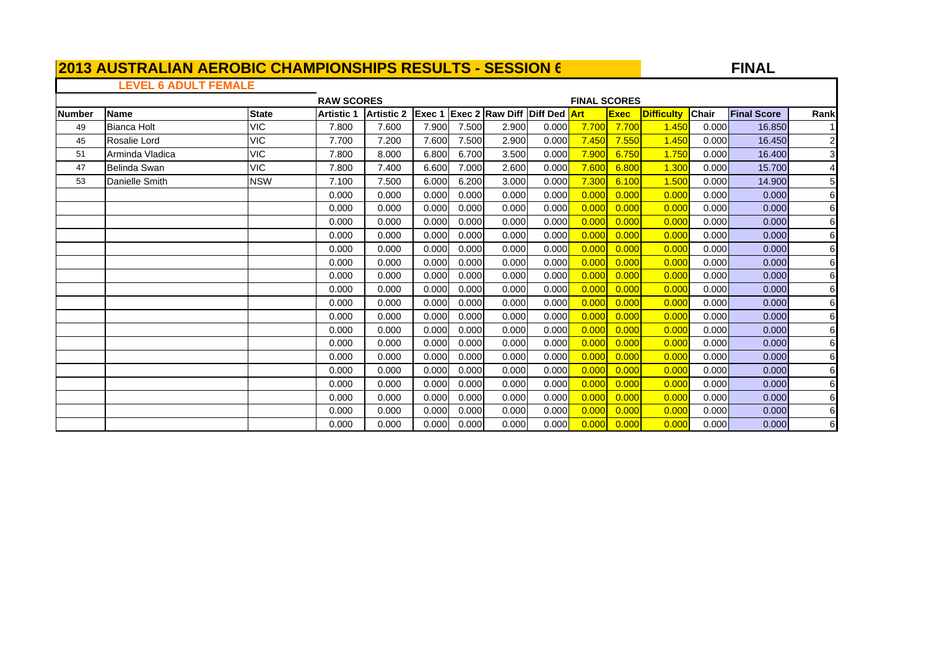**FINA L**

#### **LEVEL 6 ADULT FEMALE**

|                |                    |              | <b>RAW SCORES</b> |                   |       |       |                                     |       | <b>FINAL SCORES</b> |             |                   |              |                    |                |
|----------------|--------------------|--------------|-------------------|-------------------|-------|-------|-------------------------------------|-------|---------------------|-------------|-------------------|--------------|--------------------|----------------|
| <b>INumber</b> | <b>Name</b>        | <b>State</b> | <b>Artistic 1</b> | Artistic 2 Exec 1 |       |       | <b>Exec 2 Raw Diff Diff Ded Art</b> |       |                     | <b>Exec</b> | <b>Difficulty</b> | <b>Chair</b> | <b>Final Score</b> | Rank           |
| 49             | <b>Bianca Holt</b> | VIC          | 7.800             | 7.600             | 7.900 | 7.500 | 2.900                               | 0.000 | 7.700               | 7.700       | 1.450             | 0.000        | 16.850             |                |
| 45             | Rosalie Lord       | <b>VIC</b>   | 7.700             | 7.200             | 7.600 | 7.500 | 2.900                               | 0.000 | 7.450               | 7.550       | 1.450             | 0.000        | 16.450             | $\overline{2}$ |
| 51             | Arminda Vladica    | <b>VIC</b>   | 7.800             | 8.000             | 6.800 | 6.700 | 3.500                               | 0.000 | 7.900               | 6.750       | 1.750             | 0.000        | 16.400             | 3 <sub>l</sub> |
| 47             | Belinda Swan       | <b>VIC</b>   | 7.800             | 7.400             | 6.600 | 7.000 | 2.600                               | 0.000 | 7.600               | 6.800       | 1.300             | 0.000        | 15.700             |                |
| 53             | Danielle Smith     | <b>NSW</b>   | 7.100             | 7.500             | 6.000 | 6.200 | 3.000                               | 0.000 | 7.300               | 6.100       | 1.500             | 0.000        | 14.900             |                |
|                |                    |              | 0.000             | 0.000             | 0.000 | 0.000 | 0.000                               | 0.000 | 0.000               | 0.000       | 0.000             | 0.000        | 0.000              | 6              |
|                |                    |              | 0.000             | 0.000             | 0.000 | 0.000 | 0.000                               | 0.000 | 0.000               | 0.000       | 0.000             | 0.000        | 0.000              | 6              |
|                |                    |              | 0.000             | 0.000             | 0.000 | 0.000 | 0.000                               | 0.000 | 0.00C               | 0.000       | 0.000             | 0.000        | 0.000              | 6              |
|                |                    |              | 0.000             | 0.000             | 0.000 | 0.000 | 0.000                               | 0.000 | 0.000               | 0.000       | 0.000             | 0.000        | 0.000              | 6              |
|                |                    |              | 0.000             | 0.000             | 0.000 | 0.000 | 0.000                               | 0.000 | 0.00C               | 0.000       | 0.000             | 0.000        | 0.000              | 6              |
|                |                    |              | 0.000             | 0.000             | 0.000 | 0.000 | 0.000                               | 0.000 | 0.00C               | 0.000       | 0.000             | 0.000        | 0.000              | 6              |
|                |                    |              | 0.000             | 0.000             | 0.000 | 0.000 | 0.000                               | 0.000 | 0.000               | 0.000       | 0.000             | 0.000        | 0.000              | 6              |
|                |                    |              | 0.000             | 0.000             | 0.000 | 0.000 | 0.000                               | 0.000 | 0.00C               | 0.000       | 0.000             | 0.000        | 0.000              | 6              |
|                |                    |              | 0.000             | 0.000             | 0.000 | 0.000 | 0.000                               | 0.000 | 0.00C               | 0.000       | 0.000             | 0.000        | 0.000              | 6              |
|                |                    |              | 0.000             | 0.000             | 0.000 | 0.000 | 0.000                               | 0.000 | 0.000               | 0.000       | 0.000             | 0.000        | 0.000              | 6              |
|                |                    |              | 0.000             | 0.000             | 0.000 | 0.000 | 0.000                               | 0.000 | 0.000               | 0.000       | 0.000             | 0.000        | 0.000              | 6              |
|                |                    |              | 0.000             | 0.000             | 0.000 | 0.000 | 0.000                               | 0.000 | 0.000               | 0.000       | 0.000             | 0.000        | 0.000              | 6              |
|                |                    |              | 0.000             | 0.000             | 0.000 | 0.000 | 0.000                               | 0.000 | 0.000               | 0.000       | 0.000             | 0.000        | 0.000              | 6              |
|                |                    |              | 0.000             | 0.000             | 0.000 | 0.000 | 0.000                               | 0.000 | 0.000               | 0.000       | 0.000             | 0.000        | 0.000              | 6              |
|                |                    |              | 0.000             | 0.000             | 0.000 | 0.000 | 0.000                               | 0.000 | 0.000               | 0.000       | 0.000             | 0.000        | 0.000              | 6              |
|                |                    |              | 0.000             | 0.000             | 0.000 | 0.000 | 0.000                               | 0.000 | 0.000               | 0.000       | 0.000             | 0.000        | 0.000              | 6              |
|                |                    |              | 0.000             | 0.000             | 0.000 | 0.000 | 0.000                               | 0.000 | 0.000               | 0.000       | 0.000             | 0.000        | 0.000              | 6              |
|                |                    |              | 0.000             | 0.000             | 0.000 | 0.000 | 0.000                               | 0.000 | 0.000               | 0.000       | 0.000             | 0.000        | 0.000              | $6 \mid$       |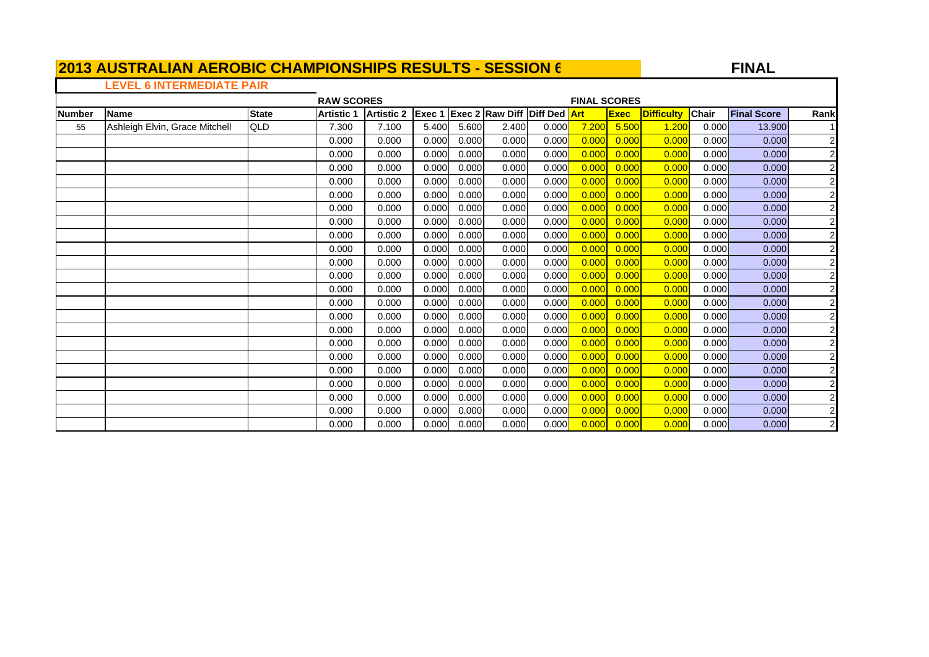**FINA L**

# **LEVEL 6 INTERMEDIATE PAIR**

|               |                                |              | <b>RAW SCORES</b> |            |       |       |                                            |       | <b>FINAL SCORES</b> |             |                   |              |                    |                         |
|---------------|--------------------------------|--------------|-------------------|------------|-------|-------|--------------------------------------------|-------|---------------------|-------------|-------------------|--------------|--------------------|-------------------------|
| <b>Number</b> | <b>Name</b>                    | <b>State</b> | <b>Artistic 1</b> | Artistic 2 |       |       | <b>Exec 1 Exec 2 Raw Diff Diff Ded Art</b> |       |                     | <b>Exec</b> | <b>Difficulty</b> | <b>Chair</b> | <b>Final Score</b> | Rank                    |
| 55            | Ashleigh Elvin, Grace Mitchell | QLD          | 7.300             | 7.100      | 5.400 | 5.600 | 2.400                                      | 0.000 | 7.200               | 5.500       | 1.200             | 0.000        | 13.900             |                         |
|               |                                |              | 0.000             | 0.000      | 0.000 | 0.000 | 0.000                                      | 0.000 | 0.000               | 0.000       | 0.000             | 0.000        | 0.000              |                         |
|               |                                |              | 0.000             | 0.000      | 0.000 | 0.000 | 0.000                                      | 0.000 | 0.000               | 0.000       | 0.000             | 0.000        | 0.000              |                         |
|               |                                |              | 0.000             | 0.000      | 0.000 | 0.000 | 0.000                                      | 0.000 | 0.000               | 0.000       | 0.000             | 0.000        | 0.000              |                         |
|               |                                |              | 0.000             | 0.000      | 0.000 | 0.000 | 0.000                                      | 0.000 | 0.000               | 0.000       | 0.000             | 0.000        | 0.000              |                         |
|               |                                |              | 0.000             | 0.000      | 0.000 | 0.000 | 0.000                                      | 0.000 | 0.000               | 0.000       | 0.000             | 0.000        | 0.000              | $\overline{c}$          |
|               |                                |              | 0.000             | 0.000      | 0.000 | 0.000 | 0.000                                      | 0.000 | 0.000               | 0.000       | 0.000             | 0.000        | 0.000              |                         |
|               |                                |              | 0.000             | 0.000      | 0.000 | 0.000 | 0.000                                      | 0.000 | 0.000               | 0.000       | 0.000             | 0.000        | 0.000              |                         |
|               |                                |              | 0.000             | 0.000      | 0.000 | 0.000 | 0.000                                      | 0.000 | 0.000               | 0.000       | 0.000             | 0.000        | 0.000              | $\overline{2}$          |
|               |                                |              | 0.000             | 0.000      | 0.000 | 0.000 | 0.000                                      | 0.000 | 0.000               | 0.000       | 0.000             | 0.000        | 0.000              |                         |
|               |                                |              | 0.000             | 0.000      | 0.000 | 0.000 | 0.000                                      | 0.000 | 0.000               | 0.000       | 0.000             | 0.000        | 0.000              |                         |
|               |                                |              | 0.000             | 0.000      | 0.000 | 0.000 | 0.000                                      | 0.000 | 0.000               | 0.000       | 0.000             | 0.000        | 0.000              |                         |
|               |                                |              | 0.000             | 0.000      | 0.000 | 0.000 | 0.000                                      | 0.000 | 0.000               | 0.000       | 0.000             | 0.000        | 0.000              |                         |
|               |                                |              | 0.000             | 0.000      | 0.000 | 0.000 | 0.000                                      | 0.000 | 0.000               | 0.000       | 0.000             | 0.000        | 0.000              |                         |
|               |                                |              | 0.000             | 0.000      | 0.000 | 0.000 | 0.000                                      | 0.000 | 0.000               | 0.000       | 0.000             | 0.000        | 0.000              | $\overline{c}$          |
|               |                                |              | 0.000             | 0.000      | 0.000 | 0.000 | 0.000                                      | 0.000 | 0.000               | 0.000       | 0.000             | 0.000        | 0.000              | $\overline{c}$          |
|               |                                |              | 0.000             | 0.000      | 0.000 | 0.000 | 0.000                                      | 0.000 | 0.000               | 0.000       | 0.000             | 0.000        | 0.000              | $\overline{2}$          |
|               |                                |              | 0.000             | 0.000      | 0.000 | 0.000 | 0.000                                      | 0.000 | 0.000               | 0.000       | 0.000             | 0.000        | 0.000              | $\overline{c}$          |
|               |                                |              | 0.000             | 0.000      | 0.000 | 0.000 | 0.000                                      | 0.000 | 0.000               | 0.000       | 0.000             | 0.000        | 0.000              | $\overline{c}$          |
|               |                                |              | 0.000             | 0.000      | 0.000 | 0.000 | 0.000                                      | 0.000 | 0.000               | 0.000       | 0.000             | 0.000        | 0.000              | $\overline{2}$          |
|               |                                |              | 0.000             | 0.000      | 0.000 | 0.000 | 0.000                                      | 0.000 | 0.000               | 0.000       | 0.000             | 0.000        | 0.000              |                         |
|               |                                |              | 0.000             | 0.000      | 0.000 | 0.000 | 0.000                                      | 0.000 | 0.000               | 0.000       | 0.000             | 0.000        | 0.000              | $\overline{\mathbf{c}}$ |
|               |                                |              | 0.000             | 0.000      | 0.000 | 0.000 | 0.000                                      | 0.000 | 0.000               | 0.000       | 0.000             | 0.000        | 0.000              | $\overline{a}$          |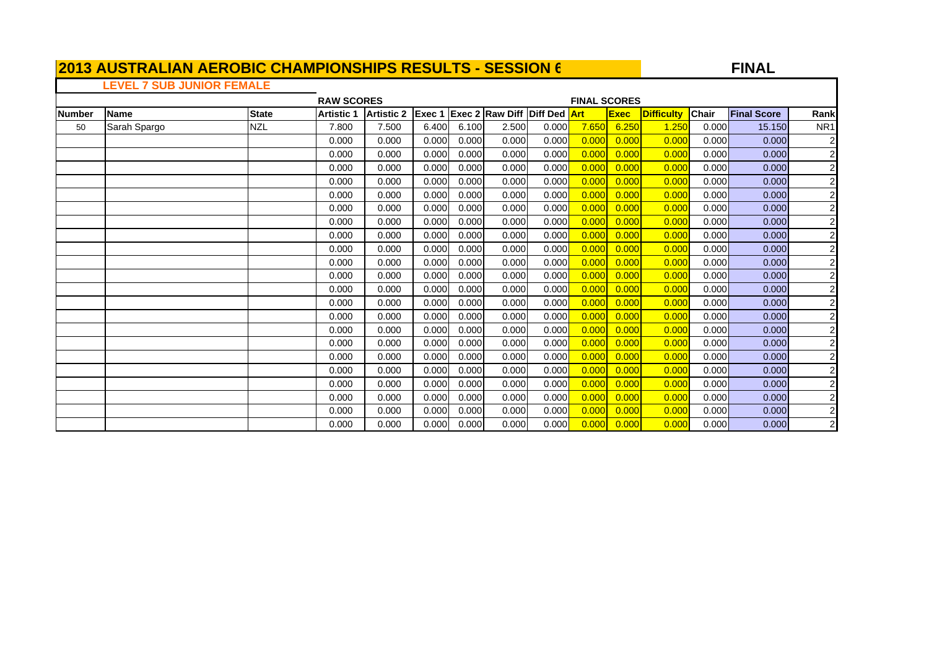**FINA L**

# **LEVEL 7 SUB JUNIOR FEMALE**

|               |              |              | <b>RAW SCORES</b> |                   |        |       |                                     |       | <b>FINAL SCORES</b> |                     |                   |              |                    |                         |
|---------------|--------------|--------------|-------------------|-------------------|--------|-------|-------------------------------------|-------|---------------------|---------------------|-------------------|--------------|--------------------|-------------------------|
| <b>Number</b> | Name         | <b>State</b> | <b>Artistic 1</b> | <b>Artistic 2</b> | Exec 1 |       | <b>Exec 2 Raw Diff Diff Ded Art</b> |       |                     | <b>Exec</b>         | <b>Difficulty</b> | <b>Chair</b> | <b>Final Score</b> | Rank                    |
| 50            | Sarah Spargo | <b>NZL</b>   | 7.800             | 7.500             | 6.400  | 6.100 | 2.500                               | 0.000 | 7.650               | 6.250               | 1.250             | 0.000        | 15.150             | NR <sub>1</sub>         |
|               |              |              | 0.000             | 0.000             | 0.000  | 0.000 | 0.000                               | 0.000 | 0.000               | 0.000               | 0.000             | 0.000        | 0.000              | 2                       |
|               |              |              | 0.000             | 0.000             | 0.000  | 0.000 | 0.000                               | 0.000 | 0.000               | 0.000               | 0.000             | 0.000        | 0.000              | $\overline{2}$          |
|               |              |              | 0.000             | 0.000             | 0.000  | 0.000 | 0.000                               | 0.000 | 0.000               | 0.000               | 0.000             | 0.000        | 0.000              | $\overline{a}$          |
|               |              |              | 0.000             | 0.000             | 0.000  | 0.000 | 0.000                               | 0.000 | 0.000               | 0.000               | 0.000             | 0.000        | 0.000              | $\overline{a}$          |
|               |              |              | 0.000             | 0.000             | 0.000  | 0.000 | 0.000                               | 0.000 | 0.000               | 0.000               | 0.000             | 0.000        | 0.000              | $\overline{a}$          |
|               |              |              | 0.000             | 0.000             | 0.000  | 0.000 | 0.000                               | 0.000 | 0.000               | 0.000               | 0.000             | 0.000        | 0.000              | $\overline{a}$          |
|               |              |              | 0.000             | 0.000             | 0.000  | 0.000 | 0.000                               | 0.000 | 0.000               | 0.000               | 0.000             | 0.000        | 0.000              | $\overline{a}$          |
|               |              |              | 0.000             | 0.000             | 0.000  | 0.000 | 0.000                               | 0.000 | 0.000               | 0.000               | 0.000             | 0.000        | 0.000              | $\overline{a}$          |
|               |              |              | 0.000             | 0.000             | 0.000  | 0.000 | 0.000                               | 0.000 | 0.000               | 0.000               | 0.000             | 0.000        | 0.000              | $\overline{\mathbf{c}}$ |
|               |              |              | 0.000             | 0.000             | 0.000  | 0.000 | 0.000                               | 0.000 | 0.000               | 0.000               | 0.000             | 0.000        | 0.000              | $\overline{a}$          |
|               |              |              | 0.000             | 0.000             | 0.000  | 0.000 | 0.000                               | 0.000 | 0.000               | 0.000               | 0.000             | 0.000        | 0.000              | $\overline{a}$          |
|               |              |              | 0.000             | 0.000             | 0.000  | 0.000 | 0.000                               | 0.000 | 0.000               | 0.000               | 0.000             | 0.000        | 0.000              | $\overline{c}$          |
|               |              |              | 0.000             | 0.000             | 0.000  | 0.000 | 0.000                               | 0.000 | 0.000               | 0.000               | 0.000             | 0.000        | 0.000              | $\overline{a}$          |
|               |              |              | 0.000             | 0.000             | 0.000  | 0.000 | 0.000                               | 0.000 | 0.000               | 0.000               | 0.000             | 0.000        | 0.000              | $\overline{a}$          |
|               |              |              | 0.000             | 0.000             | 0.000  | 0.000 | 0.000                               | 0.000 | 0.000               | 0.000               | 0.000             | 0.000        | 0.000              | $\overline{a}$          |
|               |              |              | 0.000             | 0.000             | 0.000  | 0.000 | 0.000                               | 0.000 | 0.000               | 0.000               | 0.000             | 0.000        | 0.000              | $\overline{a}$          |
|               |              |              | 0.000             | 0.000             | 0.000  | 0.000 | 0.000                               | 0.000 | 0.000               | 0.000               | 0.000             | 0.000        | 0.000              | $\overline{a}$          |
|               |              |              | 0.000             | 0.000             | 0.000  | 0.000 | 0.000                               | 0.000 | 0.000               | 0.000               | 0.000             | 0.000        | 0.000              | $\overline{a}$          |
|               |              |              | 0.000             | 0.000             | 0.000  | 0.000 | 0.000                               | 0.000 | 0.000               | 0.000               | 0.000             | 0.000        | 0.000              | $\overline{a}$          |
|               |              |              | 0.000             | 0.000             | 0.000  | 0.000 | 0.000                               | 0.000 | 0.000               | $\vert 0.000 \vert$ | 0.000             | 0.000        | 0.000              | $\overline{a}$          |
|               |              |              | 0.000             | 0.000             | 0.000  | 0.000 | 0.000                               | 0.000 | 0.000               | 0.000               | 0.000             | 0.000        | 0.000              | $\overline{a}$          |
|               |              |              | 0.000             | 0.000             | 0.000  | 0.000 | 0.000                               | 0.000 | $\vert 0.000 \vert$ | 0.000               | 0.000             | 0.000        | 0.000              | $\mathbf{2}$            |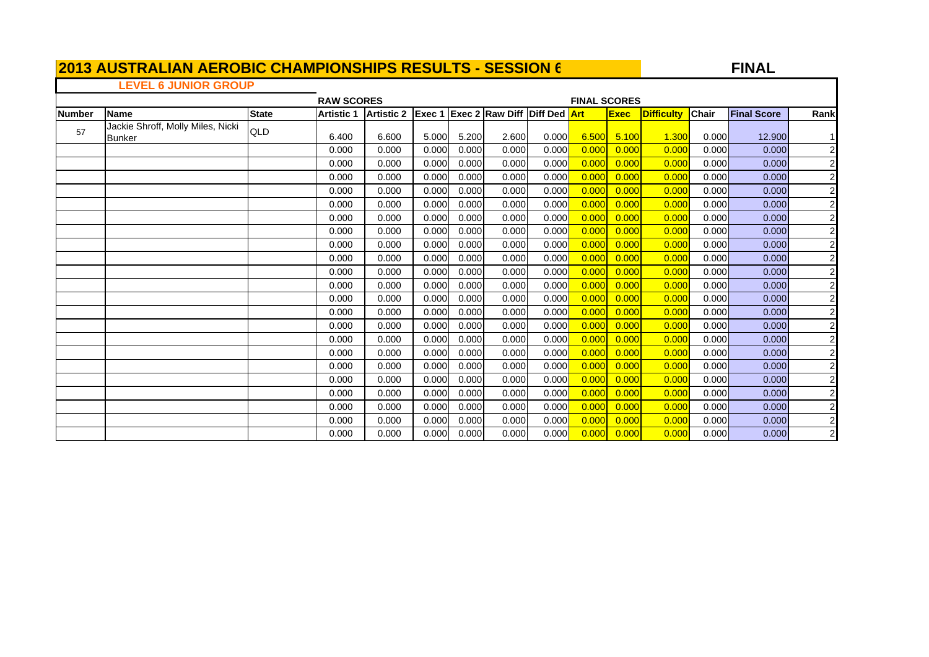**FINA L**

#### **LEVEL 6 JUNIOR GROUP**

|               |                                                    |              | <b>RAW SCORES</b> |                   |        |       |                                     |       |       | <b>FINAL SCORES</b> |                   |              |                    |                |  |  |  |
|---------------|----------------------------------------------------|--------------|-------------------|-------------------|--------|-------|-------------------------------------|-------|-------|---------------------|-------------------|--------------|--------------------|----------------|--|--|--|
| <b>Number</b> | Name                                               | <b>State</b> | <b>Artistic 1</b> | <b>Artistic 2</b> | Exec 1 |       | <b>Exec 2 Raw Diff Diff Ded Art</b> |       |       | <b>Exec</b>         | <b>Difficulty</b> | <b>Chair</b> | <b>Final Score</b> | Rank           |  |  |  |
| 57            | Jackie Shroff, Molly Miles, Nicki<br><b>Bunker</b> | QLD          | 6.400             | 6.600             | 5.000  | 5.200 | 2.600                               | 0.000 | 6.500 | 5.100               | 1.300             | 0.000        | 12.900             |                |  |  |  |
|               |                                                    |              | 0.000             | 0.000             | 0.000  | 0.000 | 0.000                               | 0.000 | 0.000 | 0.000               | 0.000             | 0.000        | 0.000              | $\overline{a}$ |  |  |  |
|               |                                                    |              | 0.000             | 0.000             | 0.000  | 0.000 | 0.000                               | 0.000 | 0.000 | 0.000               | 0.000             | 0.000        | 0.000              | $\overline{2}$ |  |  |  |
|               |                                                    |              | 0.000             | 0.000             | 0.000  | 0.000 | 0.000                               | 0.000 | 0.000 | 0.000               | 0.000             | 0.000        | 0.000              | $\overline{a}$ |  |  |  |
|               |                                                    |              | 0.000             | 0.000             | 0.000  | 0.000 | 0.000                               | 0.000 | 0.000 | 0.000               | 0.000             | 0.000        | 0.000              | $\overline{c}$ |  |  |  |
|               |                                                    |              | 0.000             | 0.000             | 0.000  | 0.000 | 0.000                               | 0.000 | 0.000 | 0.000               | 0.000             | 0.000        | 0.000              |                |  |  |  |
|               |                                                    |              | 0.000             | 0.000             | 0.000  | 0.000 | 0.000                               | 0.000 | 0.000 | 0.000               | 0.000             | 0.000        | 0.000              | $\overline{2}$ |  |  |  |
|               |                                                    |              | 0.000             | 0.000             | 0.000  | 0.000 | 0.000                               | 0.000 | 0.000 | 0.000               | 0.000             | 0.000        | 0.000              |                |  |  |  |
|               |                                                    |              | 0.000             | 0.000             | 0.000  | 0.000 | 0.000                               | 0.000 | 0.000 | 0.000               | 0.000             | 0.000        | 0.000              | $\overline{2}$ |  |  |  |
|               |                                                    |              | 0.000             | 0.000             | 0.000  | 0.000 | 0.000                               | 0.000 | 0.000 | 0.000               | 0.000             | 0.000        | 0.000              | $\overline{a}$ |  |  |  |
|               |                                                    |              | 0.000             | 0.000             | 0.000  | 0.000 | 0.000                               | 0.000 | 0.000 | 0.000               | 0.000             | 0.000        | 0.000              | $\overline{a}$ |  |  |  |
|               |                                                    |              | 0.000             | 0.000             | 0.000  | 0.000 | 0.000                               | 0.000 | 0.000 | 0.000               | 0.000             | 0.000        | 0.000              | $\overline{2}$ |  |  |  |
|               |                                                    |              | 0.000             | 0.000             | 0.000  | 0.000 | 0.000                               | 0.000 | 0.000 | 0.000               | 0.000             | 0.000        | 0.000              | $\overline{a}$ |  |  |  |
|               |                                                    |              | 0.000             | 0.000             | 0.000  | 0.000 | 0.000                               | 0.000 | 0.000 | 0.000               | 0.000             | 0.000        | 0.000              | $\overline{2}$ |  |  |  |
|               |                                                    |              | 0.000             | 0.000             | 0.000  | 0.000 | 0.000                               | 0.000 | 0.000 | 0.000               | 0.000             | 0.000        | 0.000              | $\overline{a}$ |  |  |  |
|               |                                                    |              | 0.000             | 0.000             | 0.000  | 0.000 | 0.000                               | 0.000 | 0.000 | 0.000               | 0.000             | 0.000        | 0.000              | $\overline{a}$ |  |  |  |
|               |                                                    |              | 0.000             | 0.000             | 0.000  | 0.000 | 0.000                               | 0.000 | 0.000 | 0.000               | 0.000             | 0.000        | 0.000              | $\overline{a}$ |  |  |  |
|               |                                                    |              | 0.000             | 0.000             | 0.000  | 0.000 | 0.000                               | 0.000 | 0.000 | 0.000               | 0.000             | 0.000        | 0.000              | 2              |  |  |  |
|               |                                                    |              | 0.000             | 0.000             | 0.000  | 0.000 | 0.000                               | 0.000 | 0.000 | 0.000               | 0.000             | 0.000        | 0.000              | $\overline{2}$ |  |  |  |
|               |                                                    |              | 0.000             | 0.000             | 0.000  | 0.000 | 0.000                               | 0.000 | 0.000 | 0.000               | 0.000             | 0.000        | 0.000              | $\overline{a}$ |  |  |  |
|               |                                                    |              | 0.000             | 0.000             | 0.000  | 0.000 | 0.000                               | 0.000 | 0.000 | 0.000               | 0.000             | 0.000        | 0.000              | $\overline{a}$ |  |  |  |
|               |                                                    |              | 0.000             | 0.000             | 0.000  | 0.000 | 0.000                               | 0.000 | 0.000 | 0.000               | 0.000             | 0.000        | 0.000              | $\mathbf{z}$   |  |  |  |
|               |                                                    |              | 0.000             | 0.000             | 0.000  | 0.000 | 0.000                               | 0.000 | 0.000 | 0.000               | 0.000             | 0.000        | 0.000              | $\overline{a}$ |  |  |  |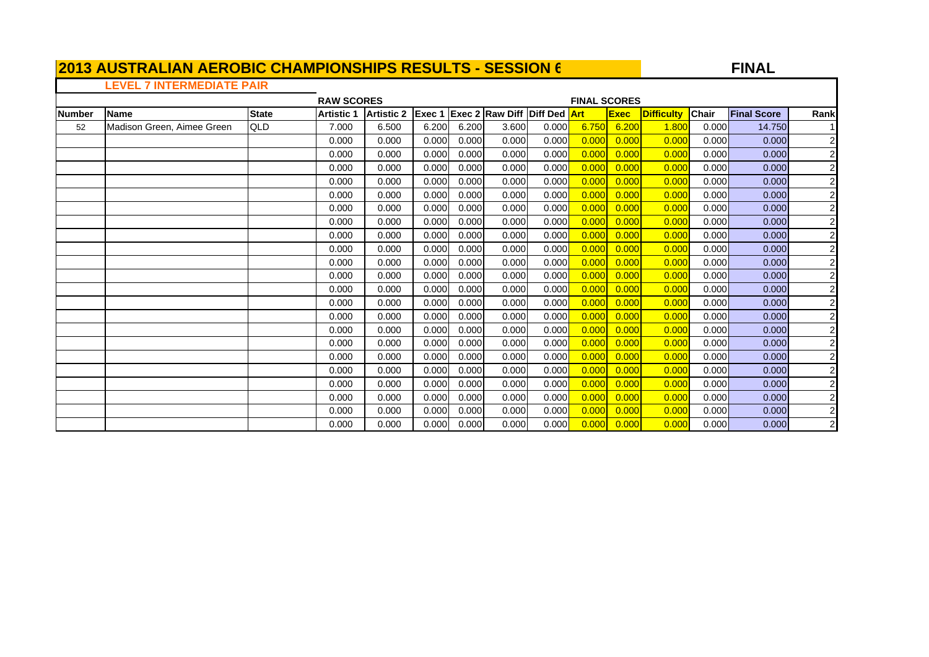**FINA L**

# **LEVEL 7 INTERMEDIATE PAIR**

Г

|               |                            | <b>RAW SCORES</b> |                   |            |       |       |                                     |       | <b>FINAL SCORES</b> |             |                   |       |                    |                         |  |  |  |
|---------------|----------------------------|-------------------|-------------------|------------|-------|-------|-------------------------------------|-------|---------------------|-------------|-------------------|-------|--------------------|-------------------------|--|--|--|
| <b>Number</b> | <b>Name</b>                | <b>State</b>      | <b>Artistic 1</b> | Artistic 2 |       |       | Exec 1 Exec 2 Raw Diff Diff Ded Art |       |                     | <b>Exec</b> | <b>Difficulty</b> | Chair | <b>Final Score</b> | Rank                    |  |  |  |
| 52            | Madison Green, Aimee Green | QLD               | 7.000             | 6.500      | 6.200 | 6.200 | 3.600                               | 0.000 | 6.750               | 6.200       | 1.800             | 0.000 | 14.750             |                         |  |  |  |
|               |                            |                   | 0.000             | 0.000      | 0.000 | 0.000 | 0.000                               | 0.000 | 0.000               | 0.000       | 0.000             | 0.000 | 0.000              |                         |  |  |  |
|               |                            |                   | 0.000             | 0.000      | 0.000 | 0.000 | 0.000                               | 0.000 | 0.000               | 0.000       | 0.000             | 0.000 | 0.000              |                         |  |  |  |
|               |                            |                   | 0.000             | 0.000      | 0.000 | 0.000 | 0.000                               | 0.000 | 0.000               | 0.000       | 0.000             | 0.000 | 0.000              |                         |  |  |  |
|               |                            |                   | 0.000             | 0.000      | 0.000 | 0.000 | 0.000                               | 0.000 | 0.000               | 0.000       | 0.000             | 0.000 | 0.000              |                         |  |  |  |
|               |                            |                   | 0.000             | 0.000      | 0.000 | 0.000 | 0.000                               | 0.000 | 0.000               | 0.000       | 0.000             | 0.000 | 0.000              | $\overline{c}$          |  |  |  |
|               |                            |                   | 0.000             | 0.000      | 0.000 | 0.000 | 0.000                               | 0.000 | 0.000               | 0.000       | 0.000             | 0.000 | 0.000              |                         |  |  |  |
|               |                            |                   | 0.000             | 0.000      | 0.000 | 0.000 | 0.000                               | 0.000 | 0.000               | 0.000       | 0.000             | 0.000 | 0.000              |                         |  |  |  |
|               |                            |                   | 0.000             | 0.000      | 0.000 | 0.000 | 0.000                               | 0.000 | 0.000               | 0.000       | 0.000             | 0.000 | 0.000              | 2                       |  |  |  |
|               |                            |                   | 0.000             | 0.000      | 0.000 | 0.000 | 0.000                               | 0.000 | 0.000               | 0.000       | 0.000             | 0.000 | 0.000              |                         |  |  |  |
|               |                            |                   | 0.000             | 0.000      | 0.000 | 0.000 | 0.000                               | 0.000 | 0.000               | 0.000       | 0.000             | 0.000 | 0.000              |                         |  |  |  |
|               |                            |                   | 0.000             | 0.000      | 0.000 | 0.000 | 0.000                               | 0.000 | 0.000               | 0.000       | 0.000             | 0.000 | 0.000              |                         |  |  |  |
|               |                            |                   | 0.000             | 0.000      | 0.000 | 0.000 | 0.000                               | 0.000 | 0.000               | 0.000       | 0.000             | 0.000 | 0.000              |                         |  |  |  |
|               |                            |                   | 0.000             | 0.000      | 0.000 | 0.000 | 0.000                               | 0.000 | 0.000               | 0.000       | 0.000             | 0.000 | 0.000              |                         |  |  |  |
|               |                            |                   | 0.000             | 0.000      | 0.000 | 0.000 | 0.000                               | 0.000 | 0.000               | 0.000       | 0.000             | 0.000 | 0.000              | $\overline{c}$          |  |  |  |
|               |                            |                   | 0.000             | 0.000      | 0.000 | 0.000 | 0.000                               | 0.000 | 0.000               | 0.000       | 0.000             | 0.000 | 0.000              | $\overline{c}$          |  |  |  |
|               |                            |                   | 0.000             | 0.000      | 0.000 | 0.000 | 0.000                               | 0.000 | 0.000               | 0.000       | 0.000             | 0.000 | 0.000              | $\overline{2}$          |  |  |  |
|               |                            |                   | 0.000             | 0.000      | 0.000 | 0.000 | 0.000                               | 0.000 | 0.000               | 0.000       | 0.000             | 0.000 | 0.000              | $\overline{c}$          |  |  |  |
|               |                            |                   | 0.000             | 0.000      | 0.000 | 0.000 | 0.000                               | 0.000 | 0.000               | 0.000       | 0.000             | 0.000 | 0.000              | $\overline{c}$          |  |  |  |
|               |                            |                   | 0.000             | 0.000      | 0.000 | 0.000 | 0.000                               | 0.000 | 0.000               | 0.000       | 0.000             | 0.000 | 0.000              | $\overline{2}$          |  |  |  |
|               |                            |                   | 0.000             | 0.000      | 0.000 | 0.000 | 0.000                               | 0.000 | 0.000               | 0.000       | 0.000             | 0.000 | 0.000              | $\overline{2}$          |  |  |  |
|               |                            |                   | 0.000             | 0.000      | 0.000 | 0.000 | 0.000                               | 0.000 | 0.000               | 0.000       | 0.000             | 0.000 | 0.000              | $\overline{\mathbf{c}}$ |  |  |  |
|               |                            |                   | 0.000             | 0.000      | 0.000 | 0.000 | 0.000                               | 0.000 | $\vert 0.000 \vert$ | 0.000       | 0.000             | 0.000 | 0.000              | $\overline{a}$          |  |  |  |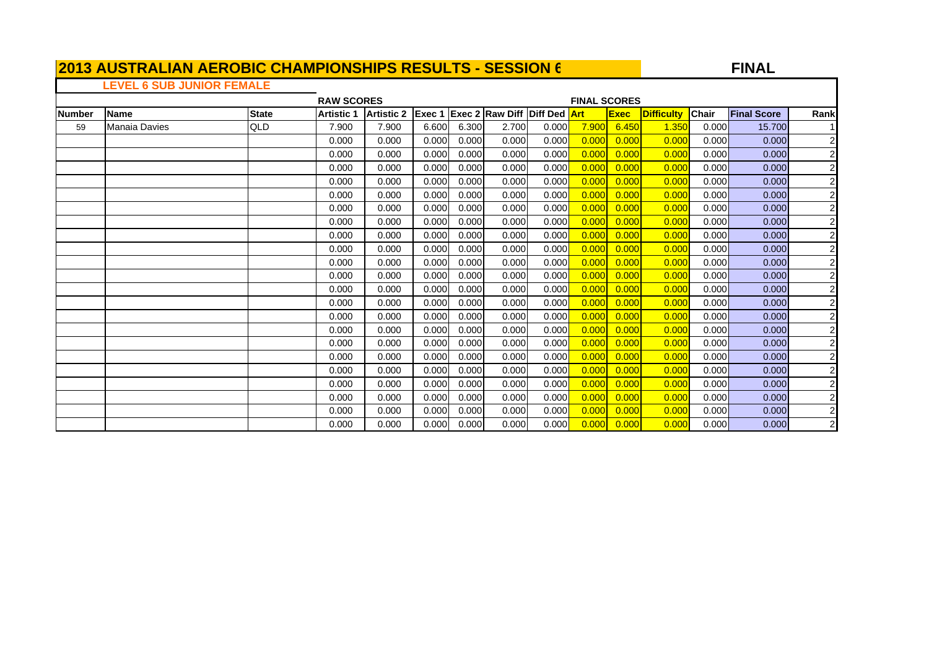**FINA L**

# **LEVEL 6 SUB JUNIOR FEMALE**

| <b>RAW SCORES</b> |                      |              |                   |            |       |       | <b>FINAL SCORES</b>                 |       |       |             |                   |              |                    |                         |  |
|-------------------|----------------------|--------------|-------------------|------------|-------|-------|-------------------------------------|-------|-------|-------------|-------------------|--------------|--------------------|-------------------------|--|
| <b>Number</b>     | Name                 | <b>State</b> | <b>Artistic 1</b> | Artistic 2 |       |       | Exec 1 Exec 2 Raw Diff Diff Ded Art |       |       | <b>Exec</b> | <b>Difficulty</b> | <b>Chair</b> | <b>Final Score</b> | Rank                    |  |
| 59                | <b>Manaia Davies</b> | QLD          | 7.900             | 7.900      | 6.600 | 6.300 | 2.700                               | 0.000 | 7.900 | 6.450       | 1.350             | 0.000        | 15.700             |                         |  |
|                   |                      |              | 0.000             | 0.000      | 0.000 | 0.000 | 0.000                               | 0.000 | 0.000 | 0.000       | 0.000             | 0.000        | 0.000              | $\overline{a}$          |  |
|                   |                      |              | 0.000             | 0.000      | 0.000 | 0.000 | 0.000                               | 0.000 | 0.000 | 0.000       | 0.000             | 0.000        | 0.000              | $\overline{c}$          |  |
|                   |                      |              | 0.000             | 0.000      | 0.000 | 0.000 | 0.000                               | 0.000 | 0.000 | 0.000       | 0.000             | 0.000        | 0.000              | $\overline{a}$          |  |
|                   |                      |              | 0.000             | 0.000      | 0.000 | 0.000 | 0.000                               | 0.000 | 0.000 | 0.000       | 0.000             | 0.000        | 0.000              | $\overline{a}$          |  |
|                   |                      |              | 0.000             | 0.000      | 0.000 | 0.000 | 0.000                               | 0.000 | 0.000 | 0.000       | 0.000             | 0.000        | 0.000              | $\overline{a}$          |  |
|                   |                      |              | 0.000             | 0.000      | 0.000 | 0.000 | 0.000                               | 0.000 | 0.000 | 0.000       | 0.000             | 0.000        | 0.000              | $\overline{a}$          |  |
|                   |                      |              | 0.000             | 0.000      | 0.000 | 0.000 | 0.000                               | 0.000 | 0.000 | 0.000       | 0.000             | 0.000        | 0.000              | $\overline{2}$          |  |
|                   |                      |              | 0.000             | 0.000      | 0.000 | 0.000 | 0.000                               | 0.000 | 0.000 | 0.000       | 0.000             | 0.000        | 0.000              | $\overline{2}$          |  |
|                   |                      |              | 0.000             | 0.000      | 0.000 | 0.000 | 0.000                               | 0.000 | 0.000 | 0.000       | 0.000             | 0.000        | 0.000              | $\overline{c}$          |  |
|                   |                      |              | 0.000             | 0.000      | 0.000 | 0.000 | 0.000                               | 0.000 | 0.000 | 0.000       | 0.000             | 0.000        | 0.000              | $\overline{a}$          |  |
|                   |                      |              | 0.000             | 0.000      | 0.000 | 0.000 | 0.000                               | 0.000 | 0.000 | 0.000       | 0.000             | 0.000        | 0.000              | $\overline{2}$          |  |
|                   |                      |              | 0.000             | 0.000      | 0.000 | 0.000 | 0.000                               | 0.000 | 0.000 | 0.000       | 0.000             | 0.000        | 0.000              | $\overline{c}$          |  |
|                   |                      |              | 0.000             | 0.000      | 0.000 | 0.000 | 0.000                               | 0.000 | 0.000 | 0.000       | 0.000             | 0.000        | 0.000              | $\overline{a}$          |  |
|                   |                      |              | 0.000             | 0.000      | 0.000 | 0.000 | 0.000                               | 0.000 | 0.000 | 0.000       | 0.000             | 0.000        | 0.000              | $\overline{a}$          |  |
|                   |                      |              | 0.000             | 0.000      | 0.000 | 0.000 | 0.000                               | 0.000 | 0.000 | 0.000       | 0.000             | 0.000        | 0.000              | $\overline{a}$          |  |
|                   |                      |              | 0.000             | 0.000      | 0.000 | 0.000 | 0.000                               | 0.000 | 0.000 | 0.000       | 0.000             | 0.000        | 0.000              | $\overline{a}$          |  |
|                   |                      |              | 0.000             | 0.000      | 0.000 | 0.000 | 0.000                               | 0.000 | 0.000 | 0.000       | 0.000             | 0.000        | 0.000              | $\overline{a}$          |  |
|                   |                      |              | 0.000             | 0.000      | 0.000 | 0.000 | 0.000                               | 0.000 | 0.000 | 0.000       | 0.000             | 0.000        | 0.000              | $\overline{a}$          |  |
|                   |                      |              | 0.000             | 0.000      | 0.000 | 0.000 | 0.000                               | 0.000 | 0.000 | 0.000       | 0.000             | 0.000        | 0.000              | $\overline{a}$          |  |
|                   |                      |              | 0.000             | 0.000      | 0.000 | 0.000 | 0.000                               | 0.000 | 0.000 | 0.000       | 0.000             | 0.000        | 0.000              | $\overline{a}$          |  |
|                   |                      |              | 0.000             | 0.000      | 0.000 | 0.000 | 0.000                               | 0.000 | 0.000 | 0.000       | 0.000             | 0.000        | 0.000              | $\overline{\mathbf{c}}$ |  |
|                   |                      |              | 0.000             | 0.000      | 0.000 | 0.000 | 0.000                               | 0.000 | 0.000 | 0.000       | 0.000             | 0.000        | 0.000              | $\mathbf{2}$            |  |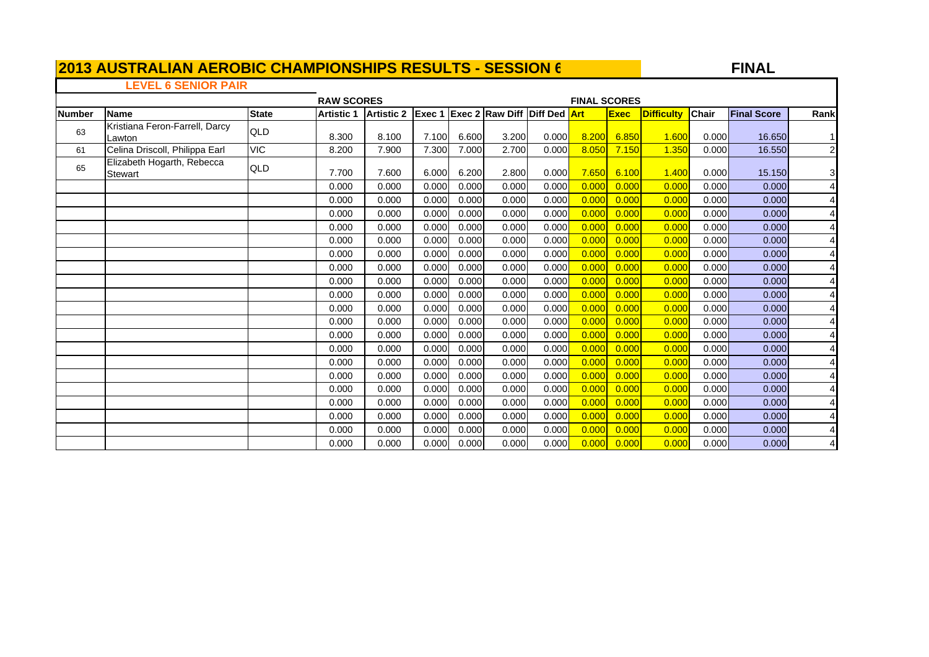**FINA L**

#### **LEVEL 6 SENIOR PAIR**

|               |                                          |              | <b>RAW SCORES</b> |                   |                |       |                                     | <b>FINAL SCORES</b> |       |             |            |              |                    |                         |  |
|---------------|------------------------------------------|--------------|-------------------|-------------------|----------------|-------|-------------------------------------|---------------------|-------|-------------|------------|--------------|--------------------|-------------------------|--|
| <b>Number</b> | <b>Name</b>                              | <b>State</b> | <b>Artistic 1</b> | <b>Artistic 2</b> | <b>IExec 1</b> |       | <b>Exec 2 Raw Diff Diff Ded Art</b> |                     |       | <b>Exec</b> | Difficulty | <b>Chair</b> | <b>Final Score</b> | Rank                    |  |
| 63            | Kristiana Feron-Farrell, Darcy<br>Lawton | QLD          | 8.300             | 8.100             | 7.100          | 6.600 | 3.200                               | 0.000               | 8.200 | 6.850       | 1.600      | 0.000        | 16.650             | 11                      |  |
| 61            | Celina Driscoll, Philippa Earl           | <b>VIC</b>   | 8.200             | 7.900             | 7.300          | 7.000 | 2.700                               | 0.000               | 8.050 | 7.150       | 1.350      | 0.000        | 16.550             | $\overline{\mathbf{c}}$ |  |
| 65            | Elizabeth Hogarth, Rebecca<br>Stewart    | QLD          | 7.700             | 7.600             | 6.000          | 6.200 | 2.800                               | 0.000               | 7.650 | 6.100       | 1.400      | 0.000        | 15.150             | 3                       |  |
|               |                                          |              | 0.000             | 0.000             | 0.000          | 0.000 | 0.000                               | 0.000               | 0.000 | 0.000       | 0.000      | 0.000        | 0.000              | 4                       |  |
|               |                                          |              | 0.000             | 0.000             | 0.000          | 0.000 | 0.000                               | 0.000               | 0.000 | 0.000       | 0.000      | 0.000        | 0.000              |                         |  |
|               |                                          |              | 0.000             | 0.000             | 0.000          | 0.000 | 0.000                               | 0.000               | 0.000 | 0.000       | 0.000      | 0.000        | 0.000              |                         |  |
|               |                                          |              | 0.000             | 0.000             | 0.000          | 0.000 | 0.000                               | 0.000               | 0.000 | 0.000       | 0.000      | 0.000        | 0.000              |                         |  |
|               |                                          |              | 0.000             | 0.000             | 0.000          | 0.000 | 0.000                               | 0.000               | 0.000 | 0.000       | 0.000      | 0.000        | 0.000              |                         |  |
|               |                                          |              | 0.000             | 0.000             | 0.000          | 0.000 | 0.000                               | 0.000               | 0.000 | 0.000       | 0.000      | 0.000        | 0.000              |                         |  |
|               |                                          |              | 0.000             | 0.000             | 0.000          | 0.000 | 0.000                               | 0.000               | 0.000 | 0.000       | 0.000      | 0.000        | 0.000              |                         |  |
|               |                                          |              | 0.000             | 0.000             | 0.000          | 0.000 | 0.000                               | 0.000               | 0.000 | 0.000       | 0.000      | 0.000        | 0.000              |                         |  |
|               |                                          |              | 0.000             | 0.000             | 0.000          | 0.000 | 0.000                               | 0.000               | 0.000 | 0.000       | 0.000      | 0.000        | 0.000              |                         |  |
|               |                                          |              | 0.000             | 0.000             | 0.000          | 0.000 | 0.000                               | 0.000               | 0.000 | 0.000       | 0.000      | 0.000        | 0.000              |                         |  |
|               |                                          |              | 0.000             | 0.000             | 0.000          | 0.000 | 0.000                               | 0.000               | 0.000 | 0.000       | 0.000      | 0.000        | 0.000              |                         |  |
|               |                                          |              | 0.000             | 0.000             | 0.000          | 0.000 | 0.000                               | 0.000               | 0.000 | 0.000       | 0.000      | 0.000        | 0.000              |                         |  |
|               |                                          |              | 0.000             | 0.000             | 0.000          | 0.000 | 0.000                               | 0.000               | 0.000 | 0.000       | 0.000      | 0.000        | 0.000              |                         |  |
|               |                                          |              | 0.000             | 0.000             | 0.000          | 0.000 | 0.000                               | 0.000               | 0.000 | 0.000       | 0.000      | 0.000        | 0.000              |                         |  |
|               |                                          |              | 0.000             | 0.000             | 0.000          | 0.000 | 0.000                               | 0.000               | 0.000 | 0.000       | 0.000      | 0.000        | 0.000              |                         |  |
|               |                                          |              | 0.000             | 0.000             | 0.000          | 0.000 | 0.000                               | 0.000               | 0.000 | 0.000       | 0.000      | 0.000        | 0.000              |                         |  |
|               |                                          |              | 0.000             | 0.000             | 0.000          | 0.000 | 0.000                               | 0.000               | 0.000 | 0.000       | 0.000      | 0.000        | 0.000              |                         |  |
|               |                                          |              | 0.000             | 0.000             | 0.000          | 0.000 | 0.000                               | 0.000               | 0.000 | 0.000       | 0.000      | 0.000        | 0.000              |                         |  |
|               |                                          |              | 0.000             | 0.000             | 0.000          | 0.000 | 0.000                               | 0.000               | 0.000 | 0.000       | 0.000      | 0.000        | 0.000              |                         |  |
|               |                                          |              | 0.000             | 0.000             | 0.000          | 0.000 | 0.000                               | 0.000               | 0.000 | 0.000       | 0.000      | 0.000        | 0.000              |                         |  |